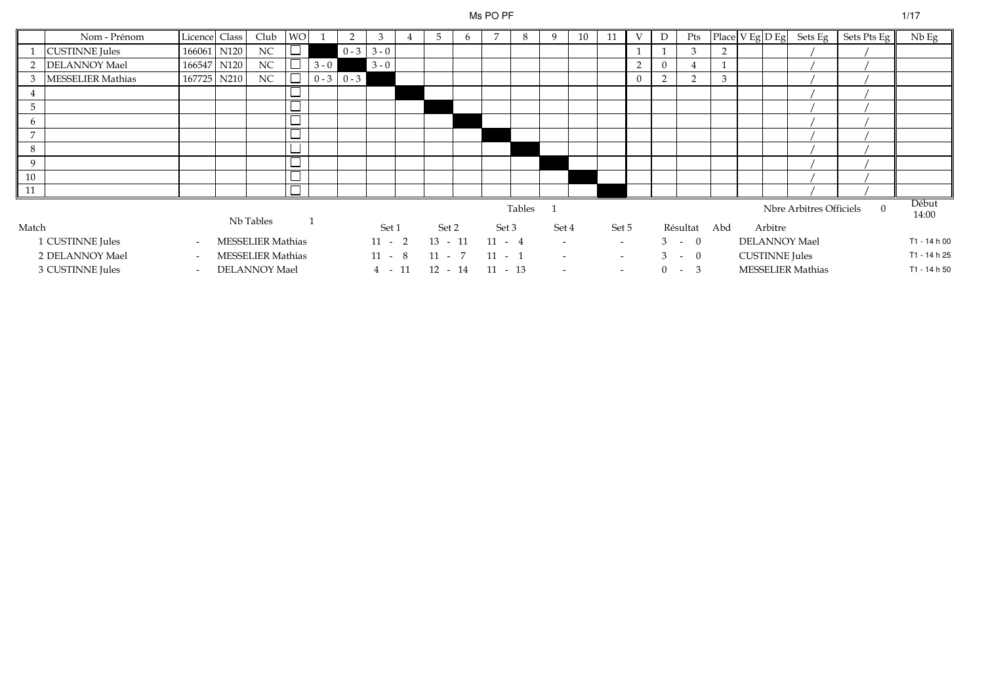#### Ms PO PF

|             | Nom - Prénom             | Licence Class            |                  | Club                     | <b>WO</b> |         | 2             | 3        | 4 | 5         | 6 | 7         | 8      | 9                        | 10 | 11     | V        | D              | Pts           |              |                       | Place $V$ Eg $D$ Eg Sets Eg | Sets Pts Eg | $Nb$ Eg        |
|-------------|--------------------------|--------------------------|------------------|--------------------------|-----------|---------|---------------|----------|---|-----------|---|-----------|--------|--------------------------|----|--------|----------|----------------|---------------|--------------|-----------------------|-----------------------------|-------------|----------------|
|             | <b>CUSTINNE</b> Jules    | 166061                   | N120             | NC                       | └─        |         | $0 - 3$       | $3 - 0$  |   |           |   |           |        |                          |    |        |          |                | 3             | 2            |                       |                             |             |                |
| 2           | <b>DELANNOY Mael</b>     | 166547                   | N <sub>120</sub> | $\rm NC$                 | ⊔         | $3 - 0$ |               | $3 - 0$  |   |           |   |           |        |                          |    |        | 2        | $\overline{0}$ |               | $\mathbf{1}$ |                       |                             |             |                |
| 3           | <b>MESSELIER Mathias</b> | 167725                   | N210             | $_{\rm NC}$              |           |         | $0 - 3$ 0 - 3 |          |   |           |   |           |        |                          |    |        | $\Omega$ | - 2            | $\mathcal{D}$ | 3            |                       |                             |             |                |
| 4           |                          |                          |                  |                          |           |         |               |          |   |           |   |           |        |                          |    |        |          |                |               |              |                       |                             |             |                |
| 5           |                          |                          |                  |                          | $\sim$    |         |               |          |   |           |   |           |        |                          |    |        |          |                |               |              |                       |                             |             |                |
| 6           |                          |                          |                  |                          | —         |         |               |          |   |           |   |           |        |                          |    |        |          |                |               |              |                       |                             |             |                |
| $7^{\circ}$ |                          |                          |                  |                          | ـــــا    |         |               |          |   |           |   |           |        |                          |    |        |          |                |               |              |                       |                             |             |                |
| 8           |                          |                          |                  |                          | $\sim$    |         |               |          |   |           |   |           |        |                          |    |        |          |                |               |              |                       |                             |             |                |
| 9           |                          |                          |                  |                          | $\sim$    |         |               |          |   |           |   |           |        |                          |    |        |          |                |               |              |                       |                             |             |                |
| 10          |                          |                          |                  |                          | $\sim$    |         |               |          |   |           |   |           |        |                          |    |        |          |                |               |              |                       |                             |             |                |
| $\vert$ 11  |                          |                          |                  |                          |           |         |               |          |   |           |   |           |        |                          |    |        |          |                |               |              |                       |                             |             |                |
|             |                          |                          |                  |                          |           |         |               |          |   |           |   |           | Tables |                          |    |        |          |                |               |              |                       | Nbre Arbitres Officiels     | $\Omega$    | Début<br>14:00 |
| Match       |                          |                          |                  | Nb Tables                |           |         |               | Set 1    |   | Set 2     |   | Set 3     |        | Set 4                    |    | Set 5  |          |                | Résultat      | Abd          | Arbitre               |                             |             |                |
|             | 1 CUSTINNE Jules         | $\sim$                   |                  | <b>MESSELIER Mathias</b> |           |         |               | $11 - 2$ |   | $13 - 11$ |   | $11 - 4$  |        | $\overline{\phantom{a}}$ |    | $\sim$ |          |                | $3 - 0$       |              |                       | <b>DELANNOY Mael</b>        |             | T1 - 14 h 00   |
|             | 2 DELANNOY Mael          | $\overline{\phantom{0}}$ |                  | <b>MESSELIER Mathias</b> |           |         |               | $11 - 8$ |   | $11 - 7$  |   | $11 - 1$  |        |                          |    | $\sim$ |          |                | $3 - 0$       |              | <b>CUSTINNE</b> Jules |                             |             | T1 - 14 h 25   |
|             | 3 CUSTINNE Jules         | $\overline{\phantom{0}}$ |                  | DELANNOY Mael            |           |         |               | $4 - 11$ |   | $12 - 14$ |   | $11 - 13$ |        |                          |    | $\sim$ |          | $0 -$          | 3             |              |                       | <b>MESSELIER Mathias</b>    |             | T1 - 14 h 50   |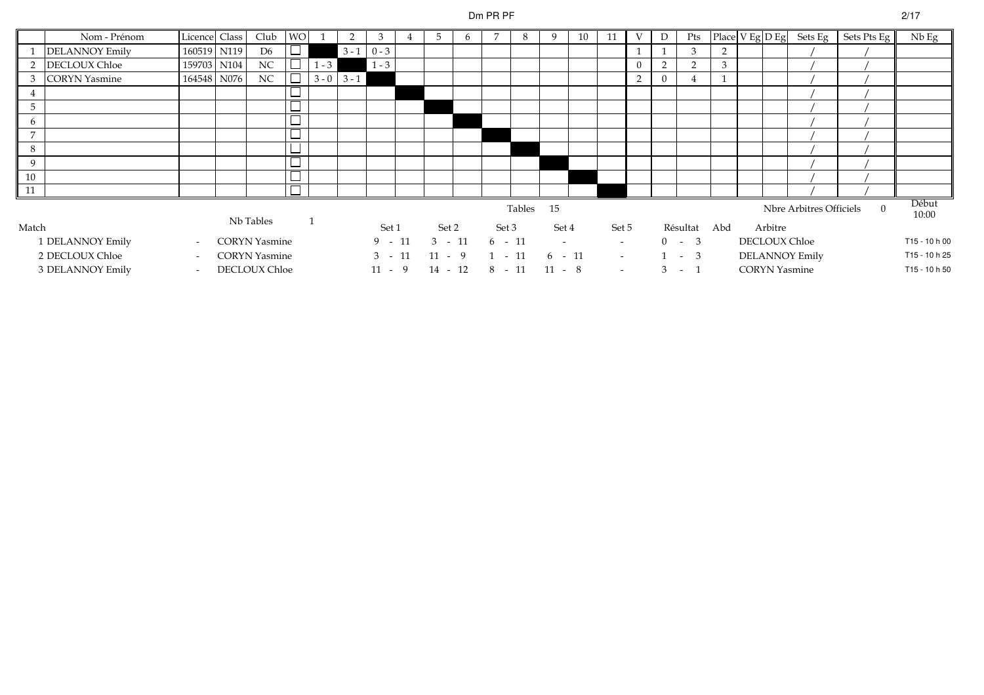# Dm PR PF

|               | Nom - Prénom          | Licence Class            | Club                 | <b>WO</b> |         | $\overline{2}$  | 3             | 5         | 6 | 7        | 8         |                          | 10 | 11     | V              | D             | Pts          |   |         | Place $V$ Eg $D$ Eg Sets Eg $\vert$ | Sets Pts Eg | Nb Eg          |
|---------------|-----------------------|--------------------------|----------------------|-----------|---------|-----------------|---------------|-----------|---|----------|-----------|--------------------------|----|--------|----------------|---------------|--------------|---|---------|-------------------------------------|-------------|----------------|
|               | <b>DELANNOY Emily</b> | 160519 N119              | D <sub>6</sub>       |           |         |                 | $3 - 1$ 0 - 3 |           |   |          |           |                          |    |        |                |               | 3            | 2 |         |                                     |             |                |
| $\mathcal{D}$ | <b>DECLOUX Chloe</b>  | 159703 N104              | N <sub>C</sub>       |           | $1 - 3$ |                 | $1 - 3$       |           |   |          |           |                          |    |        | $\overline{0}$ | $\mathcal{D}$ | $\sim$       | 3 |         |                                     |             |                |
|               | <b>CORYN</b> Yasmine  | 164548 N076              | $\rm NC$             |           |         | $3 - 0$ $3 - 1$ |               |           |   |          |           |                          |    |        | 2              | $\mathbf{0}$  |              |   |         |                                     |             |                |
|               |                       |                          |                      |           |         |                 |               |           |   |          |           |                          |    |        |                |               |              |   |         |                                     |             |                |
| $5^{\circ}$   |                       |                          |                      |           |         |                 |               |           |   |          |           |                          |    |        |                |               |              |   |         |                                     |             |                |
| 6             |                       |                          |                      |           |         |                 |               |           |   |          |           |                          |    |        |                |               |              |   |         |                                     |             |                |
| 7             |                       |                          |                      |           |         |                 |               |           |   |          |           |                          |    |        |                |               |              |   |         |                                     |             |                |
| 8             |                       |                          |                      | $\sim$    |         |                 |               |           |   |          |           |                          |    |        |                |               |              |   |         |                                     |             |                |
| 9             |                       |                          |                      | ٠         |         |                 |               |           |   |          |           |                          |    |        |                |               |              |   |         |                                     |             |                |
| 10            |                       |                          |                      |           |         |                 |               |           |   |          |           |                          |    |        |                |               |              |   |         |                                     |             |                |
| $\vert$ 11    |                       |                          |                      |           |         |                 |               |           |   |          |           |                          |    |        |                |               |              |   |         |                                     |             |                |
|               |                       |                          |                      |           |         |                 |               |           |   |          | Tables 15 |                          |    |        |                |               |              |   |         | Nbre Arbitres Officiels             | $\Omega$    | Début<br>10:00 |
| Match         |                       |                          | Nb Tables            |           |         |                 | Set 1         | Set 2     |   | Set 3    |           | Set 4                    |    | Set 5  |                |               | Résultat Abd |   | Arbitre |                                     |             |                |
|               | 1 DELANNOY Emily      | $\sim$                   | <b>CORYN</b> Yasmine |           |         |                 | $9 - 11$      | $3 - 11$  |   | $6 - 11$ |           | $\overline{\phantom{0}}$ |    | $\sim$ |                |               | $0 - 3$      |   |         | DECLOUX Chloe                       |             | T15 - 10 h 00  |
|               | 2 DECLOUX Chloe       | $\overline{\phantom{a}}$ | <b>CORYN</b> Yasmine |           |         |                 | $3 - 11$      | $11 - 9$  |   | $1 - 11$ |           | $6 - 11$                 |    | $\sim$ |                |               | $-3$         |   |         | <b>DELANNOY Emily</b>               |             | T15 - 10 h 25  |
|               | 3 DELANNOY Emily      | $\overline{\phantom{a}}$ | DECLOUX Chloe        |           |         |                 | $11 - 9$      | $14 - 12$ |   | $8 - 11$ |           | $11 - 8$                 |    | $\sim$ |                | 3             | $\sim$ 1     |   |         | <b>CORYN Yasmine</b>                |             | T15 - 10 h 50  |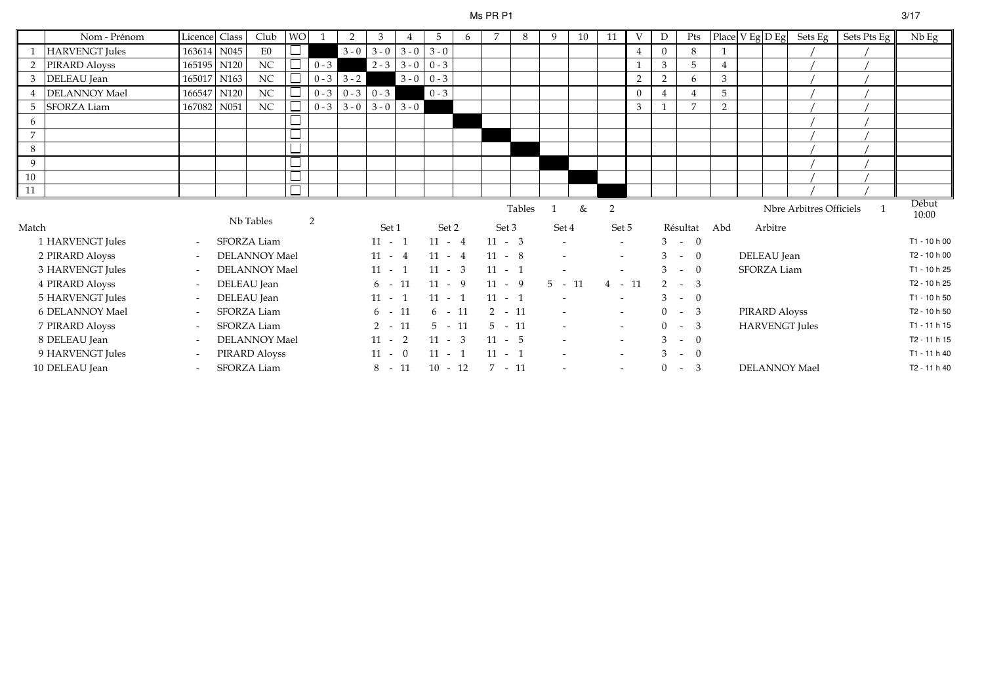#### Ms PR P1

|                | Nom - Prénom          | Licence Class            | Club                 | <b>WO</b> |         | 2             | 3        |                     |                     | 6 | $\overline{7}$ | 8      | 9            | 10 | 11                       |                | D              | Pts                          |     |               | Place $V$ Eg $D$ Eg Sets Eg | Sets Pts Eg  | Nb Eg          |
|----------------|-----------------------|--------------------------|----------------------|-----------|---------|---------------|----------|---------------------|---------------------|---|----------------|--------|--------------|----|--------------------------|----------------|----------------|------------------------------|-----|---------------|-----------------------------|--------------|----------------|
|                | <b>HARVENGT</b> Jules | 163614 N045              | E0                   |           |         | $3 - 0$       |          | $3 - 0$ 3 - 0 3 - 0 |                     |   |                |        |              |    |                          |                | $\Omega$       | 8                            |     |               |                             |              |                |
|                | PIRARD Aloyss         | 165195 N120              | $\rm NC$             |           | $0 - 3$ |               |          |                     | $2 - 3$ 3 - 0 0 - 3 |   |                |        |              |    |                          |                | 3              | $5\overline{)}$              |     |               |                             |              |                |
| 3              | DELEAU Jean           | 165017 N163              | NC                   |           |         | $0 - 3$ 3 - 2 |          |                     | $3 - 0$ 0 - 3       |   |                |        |              |    |                          | $\overline{2}$ | $\overline{2}$ | 6                            | 3   |               |                             |              |                |
|                | DELANNOY Mael         | 166547 N120              | $\rm NC$             |           | $0 - 3$ | $0 - 3$       | $0 - 3$  |                     | $0 - 3$             |   |                |        |              |    |                          | $\Omega$       |                | $\overline{4}$               | 5   |               |                             |              |                |
| -5             | <b>SFORZA Liam</b>    | 167082 N051              | NC                   |           |         | $0 - 3$ 3 - 0 |          | $3 - 0$ 3 - 0       |                     |   |                |        |              |    |                          | 3              |                | $\overline{7}$               | 2   |               |                             |              |                |
| 6              |                       |                          |                      |           |         |               |          |                     |                     |   |                |        |              |    |                          |                |                |                              |     |               |                             |              |                |
| $\overline{7}$ |                       |                          |                      |           |         |               |          |                     |                     |   |                |        |              |    |                          |                |                |                              |     |               |                             |              |                |
| 8              |                       |                          |                      | ـــــا    |         |               |          |                     |                     |   |                |        |              |    |                          |                |                |                              |     |               |                             |              |                |
| 9              |                       |                          |                      |           |         |               |          |                     |                     |   |                |        |              |    |                          |                |                |                              |     |               |                             |              |                |
| 10             |                       |                          |                      | ▃         |         |               |          |                     |                     |   |                |        |              |    |                          |                |                |                              |     |               |                             |              |                |
| $\vert$ 11     |                       |                          |                      |           |         |               |          |                     |                     |   |                |        |              |    |                          |                |                |                              |     |               |                             |              |                |
|                |                       |                          |                      |           |         |               |          |                     |                     |   |                | Tables | $\mathbf{1}$ | &  | 2                        |                |                |                              |     |               | Nbre Arbitres Officiels     | $\mathbf{1}$ | Début          |
|                |                       |                          |                      |           |         |               |          |                     |                     |   |                |        |              |    |                          |                |                |                              |     |               |                             |              | 10:00          |
| Match          |                       |                          | Nb Tables            |           | 2       |               | Set 1    |                     | Set 2               |   | Set 3          |        | Set 4        |    | Set 5                    |                |                | Résultat                     | Abd | Arbitre       |                             |              |                |
|                | 1 HARVENGT Jules      | $\overline{\phantom{a}}$ | SFORZA Liam          |           |         |               | $11 - 1$ |                     | $11 - 4$            |   | $11 - 3$       |        |              |    | $\sim$                   |                |                | $3 - 0$                      |     |               |                             |              | T1 - 10 h 00   |
|                | 2 PIRARD Aloyss       | $\overline{\phantom{a}}$ | <b>DELANNOY Mael</b> |           |         |               | $11 - 4$ |                     | $11 - 4$            |   | $11 - 8$       |        |              |    | $\sim$                   |                | 3              | $\overline{0}$<br>$\sim$ $-$ |     | DELEAU Jean   |                             |              | T2 - 10 h 00   |
|                | 3 HARVENGT Jules      | $\overline{\phantom{a}}$ | <b>DELANNOY Mael</b> |           |         |               | $11 - 1$ |                     | $11 - 3$            |   | $11 - 1$       |        |              |    |                          |                | 3              | $- 0$                        |     | SFORZA Liam   |                             |              | T1 - 10 h 25   |
|                | 4 PIRARD Aloyss       | $\overline{\phantom{a}}$ | DELEAU Jean          |           |         |               | $6 - 11$ |                     | $11 - 9$            |   | $11 - 9$       |        | $5 - 11$     |    | $4 - 11$                 |                |                | $2 - 3$                      |     |               |                             |              | T2 - 10 h 25   |
|                | 5 HARVENGT Jules      | $\overline{\phantom{a}}$ | DELEAU Jean          |           |         |               | $11 - 1$ |                     | $11 - 1$            |   | $11 - 1$       |        |              |    |                          |                | 3              | $\overline{0}$<br>$\sim$     |     |               |                             |              | T1 - 10 h 50   |
|                | 6 DELANNOY Mael       | $\overline{\phantom{a}}$ | SFORZA Liam          |           |         |               | $6 - 11$ |                     | $6 - 11$            |   | $2 - 11$       |        | $\sim$       |    | $\sim$                   |                | $\Omega$       | $-3$                         |     | PIRARD Aloyss |                             |              | T2 - 10 h 50   |
|                | 7 PIRARD Aloyss       | $\overline{\phantom{a}}$ | SFORZA Liam          |           |         |               | $2 - 11$ |                     | $5 - 11$            |   | $5 - 11$       |        |              |    | $\sim$                   |                | $\Omega$       | $-3$                         |     |               | <b>HARVENGT</b> Jules       |              | $T1 - 11 h 15$ |
|                | 8 DELEAU Jean         | $\overline{\phantom{a}}$ | <b>DELANNOY Mael</b> |           |         |               | $11 - 2$ |                     | $11 - 3$            |   | $11 - 5$       |        |              |    | $\sim$                   |                | 3              | $\overline{0}$<br>$\sim$     |     |               |                             |              | T2 - 11 h 15   |
|                | 9 HARVENGT Jules      | $\overline{\phantom{a}}$ | PIRARD Aloyss        |           |         |               | $11 - 0$ |                     | $11 - 1$            |   | $11 - 1$       |        |              |    | $\overline{\phantom{a}}$ |                | 3              | $\overline{0}$<br>$\sim$ $-$ |     |               |                             |              | T1 - 11 h 40   |
|                | 10 DELEAU Jean        | $\overline{\phantom{a}}$ | SFORZA Liam          |           |         |               | $8 - 11$ |                     | $10 - 12$           |   | $7 - 11$       |        |              |    | $\overline{\phantom{a}}$ |                | $\Omega$       | $-3$                         |     |               | <b>DELANNOY Mael</b>        |              | T2 - 11 h 40   |

# $3/17$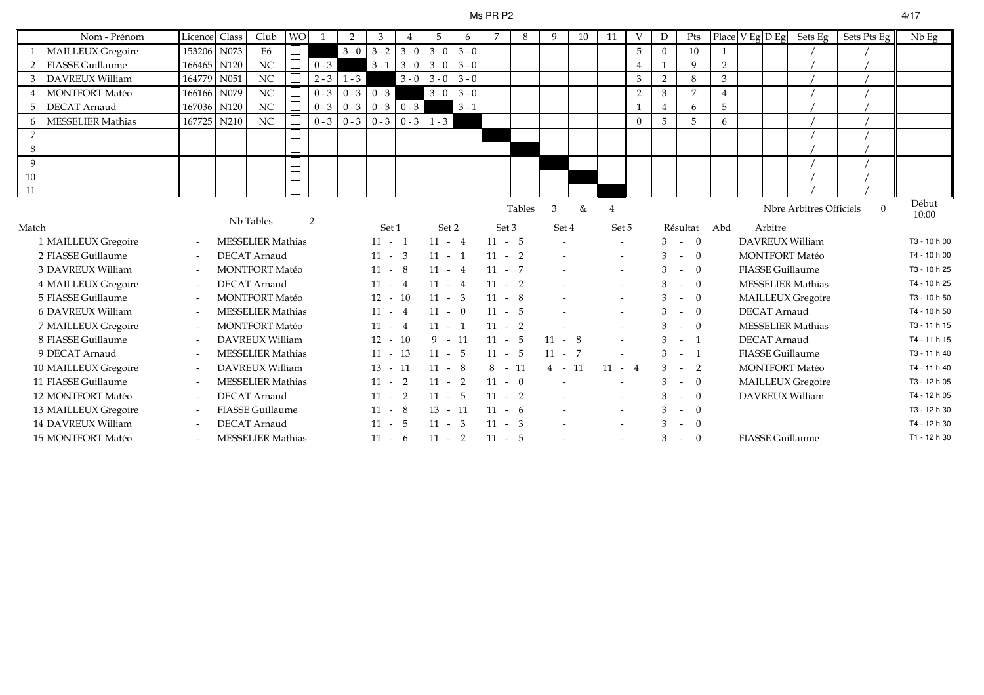#### Ms PR P2 $4/17$

|                | Nom - Prénom             | Licence                  | Class | Club                     | <b>WO</b> | $\overline{1}$ | $\overline{2}$  | 3         |         | 5             | 6       | $\overline{7}$ | 8             | 9        | 10 | 11             | $\mathbf{V}$ | D              | Pts                        | Place V Eg D Eg |                     | Sets Eg                  | Sets Pts Eg | $Nb$ Eg        |
|----------------|--------------------------|--------------------------|-------|--------------------------|-----------|----------------|-----------------|-----------|---------|---------------|---------|----------------|---------------|----------|----|----------------|--------------|----------------|----------------------------|-----------------|---------------------|--------------------------|-------------|----------------|
|                | <b>MAILLEUX Gregoire</b> | 153206                   | N073  | E <sub>6</sub>           |           |                | $3 - 0$         | $3 - 2$   | $3 - 0$ | $3 - 0$       | $3 - 0$ |                |               |          |    |                | 5            | $\overline{0}$ | 10                         |                 |                     |                          |             |                |
|                | <b>FIASSE Guillaume</b>  | 166465 N120              |       | NC                       |           | $0 - 3$        |                 | $3 - 1$   | $3 - 0$ | $3 - 0$       | $3 - 0$ |                |               |          |    |                |              |                | 9                          | $\overline{2}$  |                     |                          |             |                |
| 3              | <b>DAVREUX William</b>   | 164779                   | N051  | $_{\mathrm{NC}}$         |           |                | $2 - 3$ 1 - 3   |           | $3 - 0$ | $3 - 0$       | $3 - 0$ |                |               |          |    |                | 3            | $\overline{2}$ | 8                          | 3               |                     |                          |             |                |
|                | <b>MONTFORT Matéo</b>    | 166166                   | N079  | NC                       |           | $0 - 3$        | $0 - 3$         | $0 - 3$   |         | $3 - 0$       | $3 - 0$ |                |               |          |    |                | 2            | 3              | $\overline{7}$             | $\overline{4}$  |                     |                          |             |                |
| 5              | <b>DECAT Arnaud</b>      | 167036                   | N120  | NC                       |           | $0 - 3$        | $0 - 3$         | $0 - 3$   | $0 - 3$ |               | $3 - 1$ |                |               |          |    |                | $\mathbf{1}$ | $\overline{4}$ | 6                          | 5               |                     |                          |             |                |
| 6              | <b>MESSELIER Mathias</b> | 167725                   | N210  | NC                       |           |                | $0 - 3 \ 0 - 3$ | $0 - 3$   |         | $0 - 3$ 1 - 3 |         |                |               |          |    |                | $\Omega$     | 5              | 5                          | 6               |                     |                          |             |                |
| $\overline{7}$ |                          |                          |       |                          |           |                |                 |           |         |               |         |                |               |          |    |                |              |                |                            |                 |                     |                          |             |                |
| 8              |                          |                          |       |                          |           |                |                 |           |         |               |         |                |               |          |    |                |              |                |                            |                 |                     |                          |             |                |
| 9              |                          |                          |       |                          |           |                |                 |           |         |               |         |                |               |          |    |                |              |                |                            |                 |                     |                          |             |                |
| 10             |                          |                          |       |                          |           |                |                 |           |         |               |         |                |               |          |    |                |              |                |                            |                 |                     |                          |             |                |
| 11             |                          |                          |       |                          |           |                |                 |           |         |               |         |                |               |          |    |                |              |                |                            |                 |                     |                          |             |                |
|                |                          |                          |       | Nb Tables                |           |                |                 |           |         |               |         |                | <b>Tables</b> | 3        | &  | $\overline{4}$ |              |                |                            |                 |                     | Nbre Arbitres Officiels  | $\Omega$    | Début<br>10:00 |
| Match          |                          |                          |       |                          |           | 2              |                 | Set 1     |         | Set 2         |         | Set 3          |               | Set 4    |    | Set 5          |              |                | Résultat Abd               |                 | Arbitre             |                          |             |                |
|                | 1 MAILLEUX Gregoire      | $\overline{\phantom{a}}$ |       | <b>MESSELIER Mathias</b> |           |                |                 | $11 - 1$  |         | $11 - 4$      |         | $11 - 5$       |               |          |    | $\sim$         |              |                | $3 - 0$                    |                 |                     | DAVREUX William          |             | T3 - 10 h 00   |
|                | 2 FIASSE Guillaume       | $\overline{\phantom{a}}$ |       | <b>DECAT Arnaud</b>      |           |                |                 | $11 - 3$  |         | $11 - 1$      |         | $11 - 2$       |               |          |    | $\sim$         |              | 3              | $-$ 0                      |                 |                     | <b>MONTFORT Matéo</b>    |             | T4 - 10 h 00   |
|                | 3 DAVREUX William        | $\overline{\phantom{a}}$ |       | <b>MONTFORT Matéo</b>    |           |                |                 | $11 - 8$  |         | $11 - 4$      |         | $11 - 7$       |               |          |    |                |              | 3              | $- 0$                      |                 |                     | <b>FIASSE Guillaume</b>  |             | T3 - 10 h 25   |
|                | 4 MAILLEUX Gregoire      | $\overline{\phantom{a}}$ |       | <b>DECAT Arnaud</b>      |           |                |                 | $11 - 4$  |         | $11 - 4$      |         | $11 - 2$       |               |          |    |                |              |                | $\overline{0}$<br>$\sim$   |                 |                     | <b>MESSELIER Mathias</b> |             | T4 - 10 h 25   |
|                | 5 FIASSE Guillaume       | $\overline{\phantom{a}}$ |       | <b>MONTFORT Matéo</b>    |           |                |                 | $12 - 10$ |         | $11 - 3$      |         | $11 - 8$       |               |          |    |                |              | 3              | $\overline{0}$<br>$\omega$ |                 |                     | <b>MAILLEUX Gregoire</b> |             | T3 - 10 h 50   |
|                | 6 DAVREUX William        | $\overline{\phantom{a}}$ |       | <b>MESSELIER Mathias</b> |           |                |                 | $11 - 4$  |         | $11 - 0$      |         | $11 - 5$       |               |          |    | $\sim$         |              | 3              | $\overline{0}$<br>$\sim$   |                 | <b>DECAT Arnaud</b> |                          |             | T4 - 10 h 50   |
|                | 7 MAILLEUX Gregoire      | $\overline{\phantom{a}}$ |       | <b>MONTFORT Matéo</b>    |           |                |                 | $11 - 4$  |         | $11 - 1$      |         | $11 - 2$       |               |          |    |                |              | 3              | $- 0$                      |                 |                     | <b>MESSELIER Mathias</b> |             | T3 - 11 h 15   |
|                | 8 FIASSE Guillaume       | $\overline{\phantom{a}}$ |       | DAVREUX William          |           |                |                 | $12 - 10$ |         | $9 - 11$      |         | $11 - 5$       |               | $11 - 8$ |    |                |              |                | $-1$                       |                 | <b>DECAT Arnaud</b> |                          |             | T4 - 11 h 15   |
|                | 9 DECAT Arnaud           | $\overline{\phantom{a}}$ |       | <b>MESSELIER Mathias</b> |           |                |                 | $11 -$    | 13      | $11 - 5$      |         | $11 - 5$       |               | $11 - 7$ |    |                |              | 3              | $-1$                       |                 |                     | <b>FIASSE Guillaume</b>  |             | T3 - 11 h 40   |
|                | 10 MAILLEUX Gregoire     | $\overline{\phantom{a}}$ |       | DAVREUX William          |           |                |                 | $13 - 11$ |         | $11 - 8$      |         | $8 - 11$       |               | $4 - 11$ |    | $11 - 4$       |              | 3              | $-2$                       |                 |                     | <b>MONTFORT Matéo</b>    |             | T4 - 11 h 40   |
|                | 11 FIASSE Guillaume      | $\overline{\phantom{a}}$ |       | <b>MESSELIER Mathias</b> |           |                |                 | $11 - 2$  |         | $11 - 2$      |         | $11 - 0$       |               |          |    |                |              |                | $- 0$                      |                 |                     | <b>MAILLEUX Gregoire</b> |             | T3 - 12 h 05   |
|                | 12 MONTFORT Matéo        | $\overline{\phantom{a}}$ |       | <b>DECAT Arnaud</b>      |           |                |                 | $11 - 2$  |         | $11 - 5$      |         | $11 - 2$       |               |          |    | $\sim$         |              | 3              | $-0$                       |                 |                     | DAVREUX William          |             | T4 - 12 h 05   |
|                | 13 MAILLEUX Gregoire     | $\overline{\phantom{a}}$ |       | <b>FIASSE Guillaume</b>  |           |                |                 | $11 - 8$  |         | $13 - 11$     |         | $11 - 6$       |               |          |    | $\sim$         |              |                | $-$ 0                      |                 |                     |                          |             | T3 - 12 h 30   |
|                | 14 DAVREUX William       | $\overline{\phantom{a}}$ |       | DECAT Arnaud             |           |                |                 | $11 - 5$  |         | $11 - 3$      |         | $11 - 3$       |               |          |    | $\sim$         |              | 3              | $\theta$<br>$\sim$         |                 |                     |                          |             | T4 - 12 h 30   |
|                | 15 MONTFORT Matéo        |                          |       | <b>MESSELIER Mathias</b> |           |                |                 | $11 - 6$  |         | $11 - 2$      |         | $11 - 5$       |               |          |    |                |              | 3              | $-0$                       |                 |                     | <b>FIASSE Guillaume</b>  |             | T1 - 12 h 30   |
|                |                          |                          |       |                          |           |                |                 |           |         |               |         |                |               |          |    |                |              |                |                            |                 |                     |                          |             |                |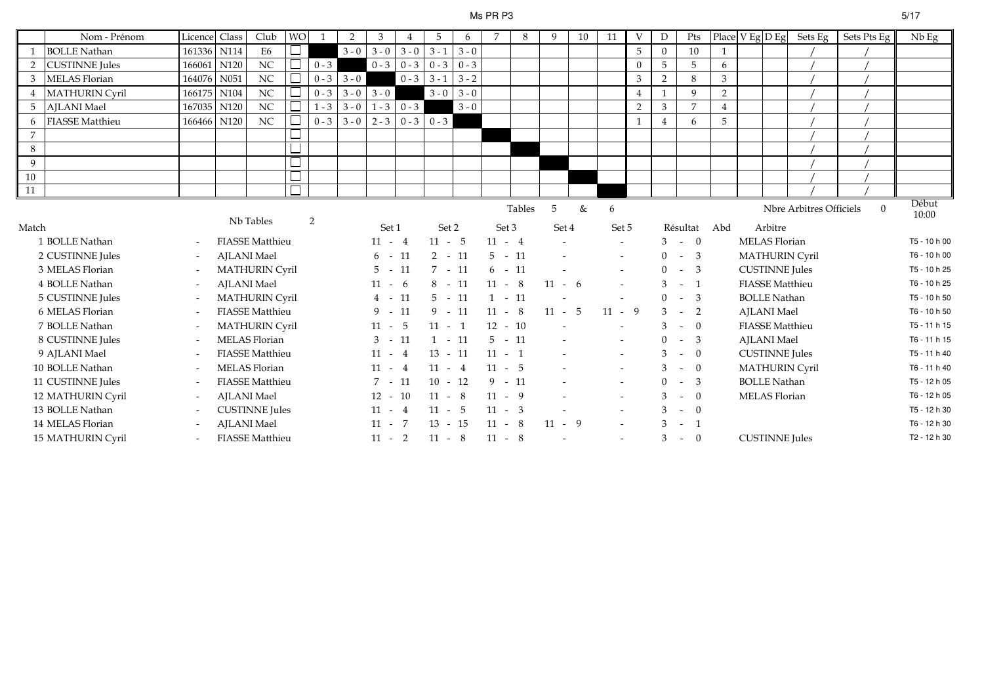### Ms PR P3

| Nom - Prénom          |                                                                                                                                                                                                                                                                                                                                                                                                                                 |      | Club                                                                                        |                                                                                                                  | $\overline{1}$                                                                                                                                                                                                                                                              | $\overline{2}$            | 3             |                                                            | 5                                                                                                                                                                                                                                                       | 6       | $\overline{7}$                                                                                                                                                                                                                                            | 8 | 9                                                                                                                                                                                                 | 10 | 11                                        | V            | D                           | Pts            |                                                                                                                                                                 |     |         |                                                                                                                                                                                                                                                                                                           | Nb Eg                                                                 |
|-----------------------|---------------------------------------------------------------------------------------------------------------------------------------------------------------------------------------------------------------------------------------------------------------------------------------------------------------------------------------------------------------------------------------------------------------------------------|------|---------------------------------------------------------------------------------------------|------------------------------------------------------------------------------------------------------------------|-----------------------------------------------------------------------------------------------------------------------------------------------------------------------------------------------------------------------------------------------------------------------------|---------------------------|---------------|------------------------------------------------------------|---------------------------------------------------------------------------------------------------------------------------------------------------------------------------------------------------------------------------------------------------------|---------|-----------------------------------------------------------------------------------------------------------------------------------------------------------------------------------------------------------------------------------------------------------|---|---------------------------------------------------------------------------------------------------------------------------------------------------------------------------------------------------|----|-------------------------------------------|--------------|-----------------------------|----------------|-----------------------------------------------------------------------------------------------------------------------------------------------------------------|-----|---------|-----------------------------------------------------------------------------------------------------------------------------------------------------------------------------------------------------------------------------------------------------------------------------------------------------------|-----------------------------------------------------------------------|
|                       |                                                                                                                                                                                                                                                                                                                                                                                                                                 |      | E <sub>6</sub>                                                                              |                                                                                                                  |                                                                                                                                                                                                                                                                             |                           | $3 - 0$       |                                                            |                                                                                                                                                                                                                                                         | $3 - 0$ |                                                                                                                                                                                                                                                           |   |                                                                                                                                                                                                   |    |                                           | 5            | $\Omega$                    | 10             |                                                                                                                                                                 |     |         |                                                                                                                                                                                                                                                                                                           |                                                                       |
|                       |                                                                                                                                                                                                                                                                                                                                                                                                                                 |      |                                                                                             |                                                                                                                  |                                                                                                                                                                                                                                                                             |                           |               |                                                            |                                                                                                                                                                                                                                                         | $0 - 3$ |                                                                                                                                                                                                                                                           |   |                                                                                                                                                                                                   |    |                                           | $\Omega$     | 5                           | 5              | 6                                                                                                                                                               |     |         |                                                                                                                                                                                                                                                                                                           |                                                                       |
|                       | 164076                                                                                                                                                                                                                                                                                                                                                                                                                          | N051 | NC                                                                                          |                                                                                                                  |                                                                                                                                                                                                                                                                             |                           |               | $0 - 3$                                                    |                                                                                                                                                                                                                                                         | $3 - 2$ |                                                                                                                                                                                                                                                           |   |                                                                                                                                                                                                   |    |                                           | 3            | 2                           | 8              | 3                                                                                                                                                               |     |         |                                                                                                                                                                                                                                                                                                           |                                                                       |
| <b>MATHURIN Cyril</b> |                                                                                                                                                                                                                                                                                                                                                                                                                                 |      | NC                                                                                          |                                                                                                                  |                                                                                                                                                                                                                                                                             |                           |               |                                                            |                                                                                                                                                                                                                                                         | $3 - 0$ |                                                                                                                                                                                                                                                           |   |                                                                                                                                                                                                   |    |                                           | 4            |                             | 9              | $\sqrt{2}$                                                                                                                                                      |     |         |                                                                                                                                                                                                                                                                                                           |                                                                       |
|                       |                                                                                                                                                                                                                                                                                                                                                                                                                                 |      | NC                                                                                          |                                                                                                                  |                                                                                                                                                                                                                                                                             |                           |               |                                                            |                                                                                                                                                                                                                                                         | $3 - 0$ |                                                                                                                                                                                                                                                           |   |                                                                                                                                                                                                   |    |                                           | 2            | 3                           | $\overline{7}$ | $\overline{4}$                                                                                                                                                  |     |         |                                                                                                                                                                                                                                                                                                           |                                                                       |
|                       |                                                                                                                                                                                                                                                                                                                                                                                                                                 |      | NC                                                                                          |                                                                                                                  |                                                                                                                                                                                                                                                                             |                           |               |                                                            |                                                                                                                                                                                                                                                         |         |                                                                                                                                                                                                                                                           |   |                                                                                                                                                                                                   |    |                                           | $\mathbf{1}$ | $\overline{4}$              | 6              | 5                                                                                                                                                               |     |         |                                                                                                                                                                                                                                                                                                           |                                                                       |
|                       |                                                                                                                                                                                                                                                                                                                                                                                                                                 |      |                                                                                             |                                                                                                                  |                                                                                                                                                                                                                                                                             |                           |               |                                                            |                                                                                                                                                                                                                                                         |         |                                                                                                                                                                                                                                                           |   |                                                                                                                                                                                                   |    |                                           |              |                             |                |                                                                                                                                                                 |     |         |                                                                                                                                                                                                                                                                                                           |                                                                       |
|                       |                                                                                                                                                                                                                                                                                                                                                                                                                                 |      |                                                                                             |                                                                                                                  |                                                                                                                                                                                                                                                                             |                           |               |                                                            |                                                                                                                                                                                                                                                         |         |                                                                                                                                                                                                                                                           |   |                                                                                                                                                                                                   |    |                                           |              |                             |                |                                                                                                                                                                 |     |         |                                                                                                                                                                                                                                                                                                           |                                                                       |
|                       |                                                                                                                                                                                                                                                                                                                                                                                                                                 |      |                                                                                             |                                                                                                                  |                                                                                                                                                                                                                                                                             |                           |               |                                                            |                                                                                                                                                                                                                                                         |         |                                                                                                                                                                                                                                                           |   |                                                                                                                                                                                                   |    |                                           |              |                             |                |                                                                                                                                                                 |     |         |                                                                                                                                                                                                                                                                                                           |                                                                       |
|                       |                                                                                                                                                                                                                                                                                                                                                                                                                                 |      |                                                                                             |                                                                                                                  |                                                                                                                                                                                                                                                                             |                           |               |                                                            |                                                                                                                                                                                                                                                         |         |                                                                                                                                                                                                                                                           |   |                                                                                                                                                                                                   |    |                                           |              |                             |                |                                                                                                                                                                 |     |         |                                                                                                                                                                                                                                                                                                           |                                                                       |
|                       |                                                                                                                                                                                                                                                                                                                                                                                                                                 |      |                                                                                             |                                                                                                                  |                                                                                                                                                                                                                                                                             |                           |               |                                                            |                                                                                                                                                                                                                                                         |         |                                                                                                                                                                                                                                                           |   |                                                                                                                                                                                                   |    |                                           |              |                             |                |                                                                                                                                                                 |     |         |                                                                                                                                                                                                                                                                                                           |                                                                       |
|                       |                                                                                                                                                                                                                                                                                                                                                                                                                                 |      |                                                                                             |                                                                                                                  |                                                                                                                                                                                                                                                                             |                           |               |                                                            |                                                                                                                                                                                                                                                         |         |                                                                                                                                                                                                                                                           |   | 5                                                                                                                                                                                                 | &  | 6                                         |              |                             |                |                                                                                                                                                                 |     |         | $\Omega$                                                                                                                                                                                                                                                                                                  | Début<br>10:00                                                        |
|                       |                                                                                                                                                                                                                                                                                                                                                                                                                                 |      |                                                                                             |                                                                                                                  |                                                                                                                                                                                                                                                                             |                           |               |                                                            |                                                                                                                                                                                                                                                         |         |                                                                                                                                                                                                                                                           |   |                                                                                                                                                                                                   |    |                                           |              |                             |                |                                                                                                                                                                 |     |         |                                                                                                                                                                                                                                                                                                           |                                                                       |
|                       |                                                                                                                                                                                                                                                                                                                                                                                                                                 |      |                                                                                             |                                                                                                                  |                                                                                                                                                                                                                                                                             |                           |               |                                                            |                                                                                                                                                                                                                                                         |         |                                                                                                                                                                                                                                                           |   |                                                                                                                                                                                                   |    |                                           |              |                             |                |                                                                                                                                                                 |     |         |                                                                                                                                                                                                                                                                                                           | T5 - 10 h 00                                                          |
|                       | $\overline{\phantom{a}}$                                                                                                                                                                                                                                                                                                                                                                                                        |      |                                                                                             |                                                                                                                  |                                                                                                                                                                                                                                                                             |                           |               |                                                            |                                                                                                                                                                                                                                                         |         |                                                                                                                                                                                                                                                           |   |                                                                                                                                                                                                   |    |                                           |              |                             |                |                                                                                                                                                                 |     |         |                                                                                                                                                                                                                                                                                                           | T6 - 10 h 00                                                          |
|                       |                                                                                                                                                                                                                                                                                                                                                                                                                                 |      |                                                                                             |                                                                                                                  |                                                                                                                                                                                                                                                                             |                           |               |                                                            |                                                                                                                                                                                                                                                         |         |                                                                                                                                                                                                                                                           |   |                                                                                                                                                                                                   |    |                                           |              | $\Omega$                    |                |                                                                                                                                                                 |     |         |                                                                                                                                                                                                                                                                                                           | T5 - 10 h 25                                                          |
|                       |                                                                                                                                                                                                                                                                                                                                                                                                                                 |      |                                                                                             |                                                                                                                  |                                                                                                                                                                                                                                                                             |                           |               | - 6                                                        |                                                                                                                                                                                                                                                         |         |                                                                                                                                                                                                                                                           |   |                                                                                                                                                                                                   |    |                                           |              | 3                           | $\overline{1}$ |                                                                                                                                                                 |     |         |                                                                                                                                                                                                                                                                                                           | T6 - 10 h 25                                                          |
|                       | $\overline{\phantom{a}}$                                                                                                                                                                                                                                                                                                                                                                                                        |      |                                                                                             |                                                                                                                  |                                                                                                                                                                                                                                                                             |                           |               | 11                                                         |                                                                                                                                                                                                                                                         |         | $\overline{1}$                                                                                                                                                                                                                                            |   |                                                                                                                                                                                                   |    |                                           |              | $\Omega$                    |                |                                                                                                                                                                 |     |         |                                                                                                                                                                                                                                                                                                           | T5 - 10 h 50                                                          |
|                       | $\overline{\phantom{a}}$                                                                                                                                                                                                                                                                                                                                                                                                        |      |                                                                                             |                                                                                                                  |                                                                                                                                                                                                                                                                             |                           |               |                                                            |                                                                                                                                                                                                                                                         |         |                                                                                                                                                                                                                                                           |   |                                                                                                                                                                                                   |    |                                           |              |                             | 2              |                                                                                                                                                                 |     |         |                                                                                                                                                                                                                                                                                                           | T6 - 10 h 50                                                          |
|                       | $\overline{\phantom{a}}$                                                                                                                                                                                                                                                                                                                                                                                                        |      |                                                                                             |                                                                                                                  |                                                                                                                                                                                                                                                                             |                           |               |                                                            |                                                                                                                                                                                                                                                         |         |                                                                                                                                                                                                                                                           |   |                                                                                                                                                                                                   |    |                                           |              | 3                           | $\Omega$       |                                                                                                                                                                 |     |         |                                                                                                                                                                                                                                                                                                           | $T5 - 11 h 15$                                                        |
|                       | $\overline{\phantom{a}}$                                                                                                                                                                                                                                                                                                                                                                                                        |      |                                                                                             |                                                                                                                  |                                                                                                                                                                                                                                                                             |                           |               |                                                            |                                                                                                                                                                                                                                                         |         |                                                                                                                                                                                                                                                           |   |                                                                                                                                                                                                   |    | $\blacksquare$                            |              | $\overline{0}$              | -3             |                                                                                                                                                                 |     |         |                                                                                                                                                                                                                                                                                                           | T6 - 11 h 15                                                          |
|                       |                                                                                                                                                                                                                                                                                                                                                                                                                                 |      |                                                                                             |                                                                                                                  |                                                                                                                                                                                                                                                                             |                           |               |                                                            |                                                                                                                                                                                                                                                         |         |                                                                                                                                                                                                                                                           |   |                                                                                                                                                                                                   |    |                                           |              | 3                           | $\overline{0}$ |                                                                                                                                                                 |     |         |                                                                                                                                                                                                                                                                                                           | T5 - 11 h 40                                                          |
|                       | $\overline{\phantom{a}}$                                                                                                                                                                                                                                                                                                                                                                                                        |      |                                                                                             |                                                                                                                  |                                                                                                                                                                                                                                                                             |                           |               |                                                            |                                                                                                                                                                                                                                                         |         |                                                                                                                                                                                                                                                           |   |                                                                                                                                                                                                   |    | $\blacksquare$                            |              | 3                           | $\overline{0}$ |                                                                                                                                                                 |     |         |                                                                                                                                                                                                                                                                                                           | T6 - 11 h 40                                                          |
|                       |                                                                                                                                                                                                                                                                                                                                                                                                                                 |      |                                                                                             |                                                                                                                  |                                                                                                                                                                                                                                                                             |                           |               |                                                            |                                                                                                                                                                                                                                                         |         |                                                                                                                                                                                                                                                           |   |                                                                                                                                                                                                   |    |                                           |              | $\Omega$                    | - 3            |                                                                                                                                                                 |     |         |                                                                                                                                                                                                                                                                                                           | T5 - 12 h 05                                                          |
|                       |                                                                                                                                                                                                                                                                                                                                                                                                                                 |      |                                                                                             |                                                                                                                  |                                                                                                                                                                                                                                                                             |                           |               |                                                            |                                                                                                                                                                                                                                                         |         |                                                                                                                                                                                                                                                           |   |                                                                                                                                                                                                   |    | $\overline{\phantom{a}}$                  |              | 3                           | $\overline{0}$ |                                                                                                                                                                 |     |         |                                                                                                                                                                                                                                                                                                           | T6 - 12 h 05                                                          |
|                       |                                                                                                                                                                                                                                                                                                                                                                                                                                 |      |                                                                                             |                                                                                                                  |                                                                                                                                                                                                                                                                             |                           |               |                                                            |                                                                                                                                                                                                                                                         |         |                                                                                                                                                                                                                                                           |   |                                                                                                                                                                                                   |    | $\sim$                                    |              | 3                           | $\theta$       |                                                                                                                                                                 |     |         |                                                                                                                                                                                                                                                                                                           | T5 - 12 h 30                                                          |
|                       |                                                                                                                                                                                                                                                                                                                                                                                                                                 |      |                                                                                             |                                                                                                                  |                                                                                                                                                                                                                                                                             |                           |               |                                                            |                                                                                                                                                                                                                                                         |         |                                                                                                                                                                                                                                                           |   |                                                                                                                                                                                                   |    | $\sim$                                    |              | 3                           | $\overline{1}$ |                                                                                                                                                                 |     |         |                                                                                                                                                                                                                                                                                                           | T6 - 12 h 30                                                          |
|                       |                                                                                                                                                                                                                                                                                                                                                                                                                                 |      |                                                                                             |                                                                                                                  |                                                                                                                                                                                                                                                                             |                           |               |                                                            |                                                                                                                                                                                                                                                         |         |                                                                                                                                                                                                                                                           |   |                                                                                                                                                                                                   |    |                                           |              | 3                           |                |                                                                                                                                                                 |     |         |                                                                                                                                                                                                                                                                                                           | T2 - 12 h 30                                                          |
|                       | <b>BOLLE Nathan</b><br><b>CUSTINNE</b> Jules<br><b>MELAS Florian</b><br><b>AJLANI</b> Mael<br><b>FIASSE Matthieu</b><br>Match<br>1 BOLLE Nathan<br>2 CUSTINNE Jules<br>3 MELAS Florian<br>4 BOLLE Nathan<br>5 CUSTINNE Jules<br>6 MELAS Florian<br>7 BOLLE Nathan<br>8 CUSTINNE Jules<br>9 AJLANI Mael<br>10 BOLLE Nathan<br>11 CUSTINNE Jules<br>12 MATHURIN Cyril<br>13 BOLLE Nathan<br>14 MELAS Florian<br>15 MATHURIN Cyril |      | Licence Class<br>161336 N114<br>166061 N120<br>166175 N104<br>167035 N120<br>N120<br>166466 | $_{\rm NC}$<br>Nb Tables<br><b>AJLANI</b> Mael<br><b>AJLANI</b> Mael<br><b>AJLANI</b> Mael<br><b>AJLANI</b> Mael | <b>FIASSE Matthieu</b><br><b>MATHURIN Cyril</b><br><b>MATHURIN Cyril</b><br><b>FIASSE Matthieu</b><br><b>MATHURIN Cyril</b><br>MELAS Florian<br><b>FIASSE Matthieu</b><br><b>MELAS Florian</b><br><b>FIASSE Matthieu</b><br><b>CUSTINNE</b> Jules<br><b>FIASSE Matthieu</b> | <b>WO</b><br>$0 - 3$<br>2 | $0 - 3$ 3 - 0 | $3 - 0$<br>$0 - 3$ 3 - 0<br>$1 - 3$ 3 - 0<br>$0 - 3$ 3 - 0 | $3 - 0$<br>$0 - 3$<br>$0 - 3$<br>$3 - 0$<br>$1 - 3$<br>$2 - 3$<br>Set 1<br>$11 - 4$<br>$6 - 11$<br>$5 - 11$<br>$11 -$<br>$4 -$<br>$9 - 11$<br>$11 - 5$<br>$3 - 11$<br>$11 - 4$<br>$11 - 4$<br>$7 - 11$<br>$12 - 10$<br>$11 - 4$<br>$11 - 7$<br>$11 - 2$ | $0 - 3$ | $3 - 1$<br>$0 - 3$<br>$3 - 1$<br>$3 - 0$<br>$0 - 3$ 0 - 3<br>Set 2<br>$11 - 5$<br>$2 - 11$<br>$7 - 11$<br>$8 - 11$<br>$5 - 11$<br>$9 - 11$<br>$11 - 1$<br>$1 - 11$<br>$13 - 11$<br>$11 - 4$<br>$10 - 12$<br>$11 - 8$<br>$11 - 5$<br>$13 - 15$<br>$11 - 8$ |   | Tables<br>Set 3<br>$11 - 4$<br>$5 - 11$<br>$6 - 11$<br>$11 - 8$<br>$-11$<br>$11 - 8$<br>$12 - 10$<br>$5 - 11$<br>$11 - 1$<br>$11 - 5$<br>$9 - 11$<br>$11 - 9$<br>$11 - 3$<br>$11 - 8$<br>$11 - 8$ |    | Set 4<br>$11 - 6$<br>$11 - 5$<br>$11 - 9$ |              | Set 5<br>$\sim$<br>$11 - 9$ |                | Résultat<br>$3 - 0$<br>$0 - 3$<br>$-3$<br>$\sim$<br>$-3$<br>$3 - -$<br>$\sim$<br>$\sim$<br>$\sim$<br>$\sim$<br>$\sim$ $-$<br>$\sim$<br>$\sim$<br>$\sim$<br>$-0$ | Abd | Arbitre | MELAS Florian<br><b>MATHURIN Cyril</b><br><b>CUSTINNE</b> Jules<br><b>FIASSE</b> Matthieu<br><b>BOLLE Nathan</b><br><b>AJLANI</b> Mael<br><b>FIASSE Matthieu</b><br><b>AJLANI</b> Mael<br><b>CUSTINNE</b> Jules<br><b>MATHURIN Cyril</b><br><b>BOLLE Nathan</b><br>MELAS Florian<br><b>CUSTINNE</b> Jules | Place $V$ Eg $D$ Eg Sets Eg<br>Sets Pts Eg<br>Nbre Arbitres Officiels |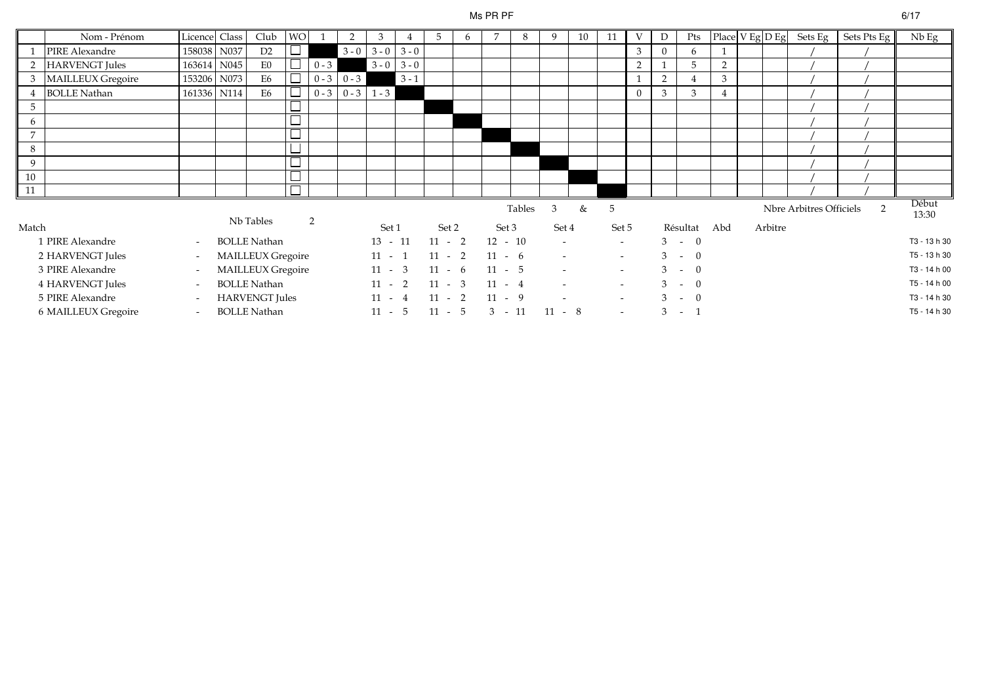### Ms PR PF

|                 | Nom - Prénom          | Licence Class            |      | Club                  | <b>WO</b> |         | 2             | 3                   |         | 5        | 6 |           | 8      | 9                        | 10 | 11     | V              | D        | Pts      |                |         |                         | $\vert$ Place $\vert$ V Eg $\vert$ D Eg $\vert$ Sets Eg $\vert$ Sets Pts Eg $\vert$ | $Nb$ Eg        |
|-----------------|-----------------------|--------------------------|------|-----------------------|-----------|---------|---------------|---------------------|---------|----------|---|-----------|--------|--------------------------|----|--------|----------------|----------|----------|----------------|---------|-------------------------|-------------------------------------------------------------------------------------|----------------|
|                 | PIRE Alexandre        | 158038                   | N037 | D <sub>2</sub>        |           |         |               | $3 - 0$ 3 - 0 3 - 0 |         |          |   |           |        |                          |    |        | 3              | $\Omega$ | 6        |                |         |                         |                                                                                     |                |
| 2               | <b>HARVENGT</b> Jules | 163614                   | N045 | E0                    |           | $0 - 3$ |               | $3 - 0$             | $3 - 0$ |          |   |           |        |                          |    |        | 2              |          | 5        | 2              |         |                         |                                                                                     |                |
| 3               | MAILLEUX Gregoire     | 153206 N073              |      | E6                    |           |         | $0 - 3$ 0 - 3 |                     | $3 - 1$ |          |   |           |        |                          |    |        |                | 2        |          | $\mathbf{3}$   |         |                         |                                                                                     |                |
|                 | <b>BOLLE Nathan</b>   | 161336 N114              |      | E6                    |           |         | $0 - 3$ 0 - 3 | $1 - 3$             |         |          |   |           |        |                          |    |        | $\overline{0}$ | 3        | 3        | $\overline{4}$ |         |                         |                                                                                     |                |
| $5\overline{)}$ |                       |                          |      |                       |           |         |               |                     |         |          |   |           |        |                          |    |        |                |          |          |                |         |                         |                                                                                     |                |
| 6               |                       |                          |      |                       |           |         |               |                     |         |          |   |           |        |                          |    |        |                |          |          |                |         |                         |                                                                                     |                |
| $\overline{7}$  |                       |                          |      |                       |           |         |               |                     |         |          |   |           |        |                          |    |        |                |          |          |                |         |                         |                                                                                     |                |
| 8               |                       |                          |      |                       | —         |         |               |                     |         |          |   |           |        |                          |    |        |                |          |          |                |         |                         |                                                                                     |                |
| 9               |                       |                          |      |                       |           |         |               |                     |         |          |   |           |        |                          |    |        |                |          |          |                |         |                         |                                                                                     |                |
| 10              |                       |                          |      |                       |           |         |               |                     |         |          |   |           |        |                          |    |        |                |          |          |                |         |                         |                                                                                     |                |
| $\vert$ 11      |                       |                          |      |                       |           |         |               |                     |         |          |   |           |        |                          |    |        |                |          |          |                |         |                         |                                                                                     |                |
|                 |                       |                          |      | Nb Tables             |           | 2       |               |                     |         |          |   |           | Tables | 3                        | &  | 5      |                |          |          |                |         | Nbre Arbitres Officiels | $\mathcal{P}$                                                                       | Début<br>13:30 |
| Match           |                       |                          |      |                       |           |         |               | Set 1               |         | Set 2    |   | Set 3     |        | Set 4                    |    | Set 5  |                |          | Résultat | Abd            | Arbitre |                         |                                                                                     |                |
|                 | 1 PIRE Alexandre      | $\sim$                   |      | BOLLE Nathan          |           |         |               | $13 - 11$           |         | $11 - 2$ |   | $12 - 10$ |        |                          |    | $\sim$ |                |          | $3 - 0$  |                |         |                         |                                                                                     | T3 - 13 h 30   |
|                 | 2 HARVENGT Jules      | $\overline{\phantom{a}}$ |      | MAILLEUX Gregoire     |           |         |               | $11 - 1$            |         | $11 - 2$ |   | $11 - 6$  |        |                          |    | $\sim$ |                |          | $3 - 0$  |                |         |                         |                                                                                     | T5 - 13 h 30   |
|                 | 3 PIRE Alexandre      |                          |      | MAILLEUX Gregoire     |           |         |               | $11 - 3$            |         | $11 - 6$ |   | $11 - 5$  |        | $\overline{\phantom{a}}$ |    | $\sim$ |                |          | $3 - 0$  |                |         |                         |                                                                                     | T3 - 14 h 00   |
|                 | 4 HARVENGT Jules      | $\overline{a}$           |      | <b>BOLLE Nathan</b>   |           |         |               | $11 - 2$            |         | $11 - 3$ |   | $11 - 4$  |        |                          |    | $\sim$ |                | 3        | $-$ 0    |                |         |                         |                                                                                     | T5 - 14 h 00   |
|                 | 5 PIRE Alexandre      |                          |      | <b>HARVENGT</b> Jules |           |         |               | $11 - 4$            |         | $11 - 2$ |   | $11 - 9$  |        |                          |    | $\sim$ |                | 3        | $- 0$    |                |         |                         |                                                                                     | T3 - 14 h 30   |
|                 | 6 MAILLEUX Gregoire   | $\overline{\phantom{a}}$ |      | <b>BOLLE Nathan</b>   |           |         |               | $11 - 5$            |         | $11 - 5$ |   | $3 - 11$  |        | $11 - 8$                 |    | $\sim$ |                | 3        | $\sim$   |                |         |                         |                                                                                     | T5 - 14 h 30   |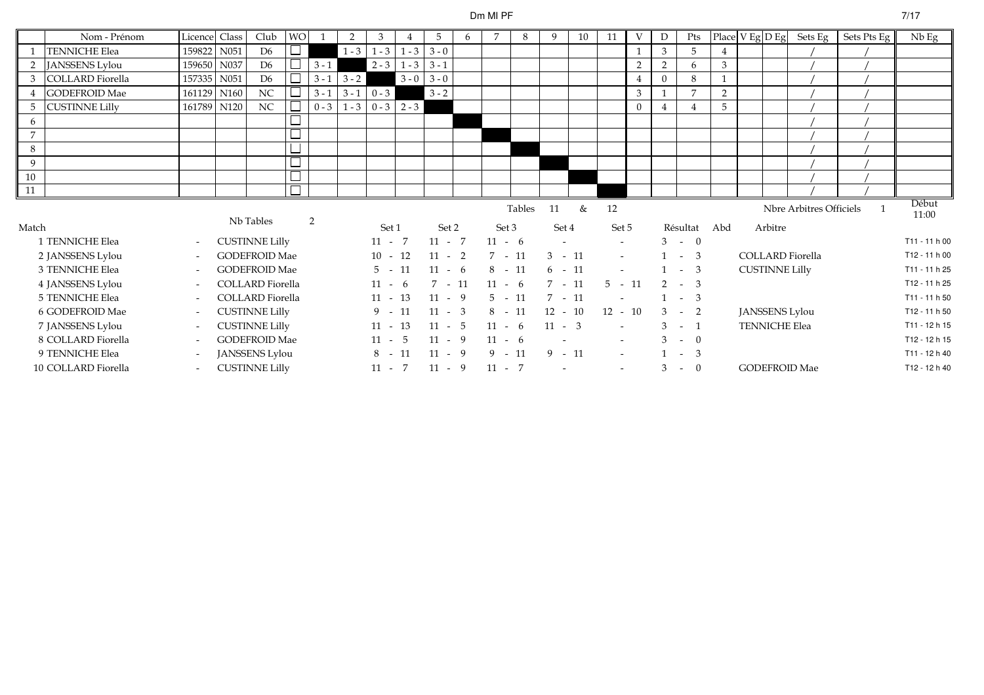# Dm MI PF

|                | Nom - Prénom          | Licence Class            |                  | Club                    | <b>WO</b> |         | 2             | 3         |               |               | 6 | 7        | 8      | 9         | 10 | 11                       | V              |                | Pts            |     |                       |         | Place V Eg D Eg Sets Eg | Sets Pts Eg | $Nb$ Eg        |
|----------------|-----------------------|--------------------------|------------------|-------------------------|-----------|---------|---------------|-----------|---------------|---------------|---|----------|--------|-----------|----|--------------------------|----------------|----------------|----------------|-----|-----------------------|---------|-------------------------|-------------|----------------|
|                | <b>TENNICHE Elea</b>  | 159822                   | N051             | D <sub>6</sub>          | $\Box$    |         | $1 - 3$       | $1 - 3$   | $1 - 3$       | $3 - 0$       |   |          |        |           |    |                          |                | 3              | 5              | 4   |                       |         |                         |             |                |
|                | <b>JANSSENS Lylou</b> | 159650                   | N037             | D <sub>6</sub>          |           | $3 - 1$ |               |           | $2 - 3$ 1 - 3 | $3 - 1$       |   |          |        |           |    |                          | $\overline{2}$ | $\overline{2}$ | 6              | 3   |                       |         |                         |             |                |
| 3              | COLLARD Fiorella      | 157335                   | N051             | D <sub>6</sub>          | $\Box$    | $3 - 1$ | $3 - 2$       |           |               | $3 - 0$ 3 - 0 |   |          |        |           |    |                          |                | $\Omega$       | 8              |     |                       |         |                         |             |                |
|                | <b>GODEFROID Mae</b>  | 161129                   | N <sub>160</sub> | NC                      | $\Box$    | $3 - 1$ | $3 - 1$       | $0 - 3$   |               | $3 - 2$       |   |          |        |           |    |                          | 3              |                | $\overline{7}$ | 2   |                       |         |                         |             |                |
| -5             | <b>CUSTINNE Lilly</b> | 161789 N120              |                  | $_{\rm NC}$             | $\Box$    |         | $0 - 3$ 1 - 3 |           | $0 - 3$ 2 - 3 |               |   |          |        |           |    |                          | $\Omega$       |                |                | 5   |                       |         |                         |             |                |
| 6              |                       |                          |                  |                         |           |         |               |           |               |               |   |          |        |           |    |                          |                |                |                |     |                       |         |                         |             |                |
| $\overline{7}$ |                       |                          |                  |                         | $\Box$    |         |               |           |               |               |   |          |        |           |    |                          |                |                |                |     |                       |         |                         |             |                |
| 8              |                       |                          |                  |                         | $\Box$    |         |               |           |               |               |   |          |        |           |    |                          |                |                |                |     |                       |         |                         |             |                |
| 9              |                       |                          |                  |                         | $\Box$    |         |               |           |               |               |   |          |        |           |    |                          |                |                |                |     |                       |         |                         |             |                |
| 10             |                       |                          |                  |                         | $\Box$    |         |               |           |               |               |   |          |        |           |    |                          |                |                |                |     |                       |         |                         |             |                |
| $\vert$ 11     |                       |                          |                  |                         | $\Box$    |         |               |           |               |               |   |          |        |           |    |                          |                |                |                |     |                       |         |                         |             |                |
|                |                       |                          |                  | Nb Tables               |           | 2       |               |           |               |               |   |          | Tables | 11        | &  | 12                       |                |                |                |     |                       |         | Nbre Arbitres Officiels |             | Début<br>11:00 |
| Match          |                       |                          |                  |                         |           |         |               | Set 1     |               | Set 2         |   | Set 3    |        | Set 4     |    | Set 5                    |                |                | Résultat       | Abd |                       | Arbitre |                         |             |                |
|                | 1 TENNICHE Elea       |                          |                  | <b>CUSTINNE Lilly</b>   |           |         |               | $11 - 7$  |               | $11 - 7$      |   | $11 - 6$ |        |           |    | $\sim$                   |                |                | $3 - 0$        |     |                       |         |                         |             | T11 - 11 h 00  |
|                | 2 JANSSENS Lylou      |                          |                  | <b>GODEFROID Mae</b>    |           |         |               | $10 - 12$ |               | $11 - 2$      |   | $7 - 11$ |        | $3 - 11$  |    | $\sim$                   |                |                | $1 - 3$        |     |                       |         | <b>COLLARD</b> Fiorella |             | T12 - 11 h 00  |
|                | 3 TENNICHE Elea       |                          |                  | <b>GODEFROID Mae</b>    |           |         |               | $5 - 11$  |               | $11 - 6$      |   | $8 - 11$ |        | $6 - 11$  |    | $\blacksquare$           |                |                | $1 - 3$        |     | <b>CUSTINNE Lilly</b> |         |                         |             | T11 - 11 h 25  |
|                | 4 JANSSENS Lylou      | $\overline{\phantom{a}}$ |                  | <b>COLLARD</b> Fiorella |           |         |               | $11 - 6$  |               | $7 - 11$      |   | $11 - 6$ |        | $7 - 11$  |    | $5 - 11$                 |                |                | $2 - 3$        |     |                       |         |                         |             | T12 - 11 h 25  |
|                | 5 TENNICHE Elea       |                          |                  | <b>COLLARD</b> Fiorella |           |         |               | $11 - 13$ |               | $11 - 9$      |   | $5 - 11$ |        | $7 - 11$  |    |                          |                |                | $-3$           |     |                       |         |                         |             | T11 - 11 h 50  |
|                | 6 GODEFROID Mae       |                          |                  | <b>CUSTINNE Lilly</b>   |           |         |               | $9 - 11$  |               | $11 - 3$      |   | $8 - 11$ |        | $12 - 10$ |    | $12 - 10$                |                |                | $3 - 2$        |     |                       |         | <b>JANSSENS Lylou</b>   |             | T12 - 11 h 50  |
|                | 7 JANSSENS Lylou      |                          |                  | <b>CUSTINNE Lilly</b>   |           |         |               | $11 - 13$ |               | $11 - 5$      |   | $11 - 6$ |        | $11 - 3$  |    | $\blacksquare$           |                |                | $3 - 1$        |     | <b>TENNICHE Elea</b>  |         |                         |             | T11 - 12 h 15  |
|                | 8 COLLARD Fiorella    |                          |                  | <b>GODEFROID Mae</b>    |           |         |               | $11 - 5$  |               | $11 - 9$      |   | $11 - 6$ |        |           |    |                          |                |                | $3 - 0$        |     |                       |         |                         |             | T12 - 12 h 15  |
|                | 9 TENNICHE Elea       |                          |                  | JANSSENS Lylou          |           |         |               | $8 - 11$  |               | $11 - 9$      |   | $9 - 11$ |        | $9 - 11$  |    | $\sim$                   |                |                | $1 - 3$        |     |                       |         |                         |             | T11 - 12 h 40  |
|                |                       |                          |                  |                         |           |         |               |           |               |               |   |          |        |           |    |                          |                |                |                |     |                       |         |                         |             |                |
|                | 10 COLLARD Fiorella   |                          |                  | <b>CUSTINNE Lilly</b>   |           |         |               | $11 - 7$  |               | $11 - 9$      |   | $11 - 7$ |        |           |    | $\overline{\phantom{a}}$ |                | 3              | $- 0$          |     |                       |         | <b>GODEFROID Mae</b>    |             | T12 - 12 h 40  |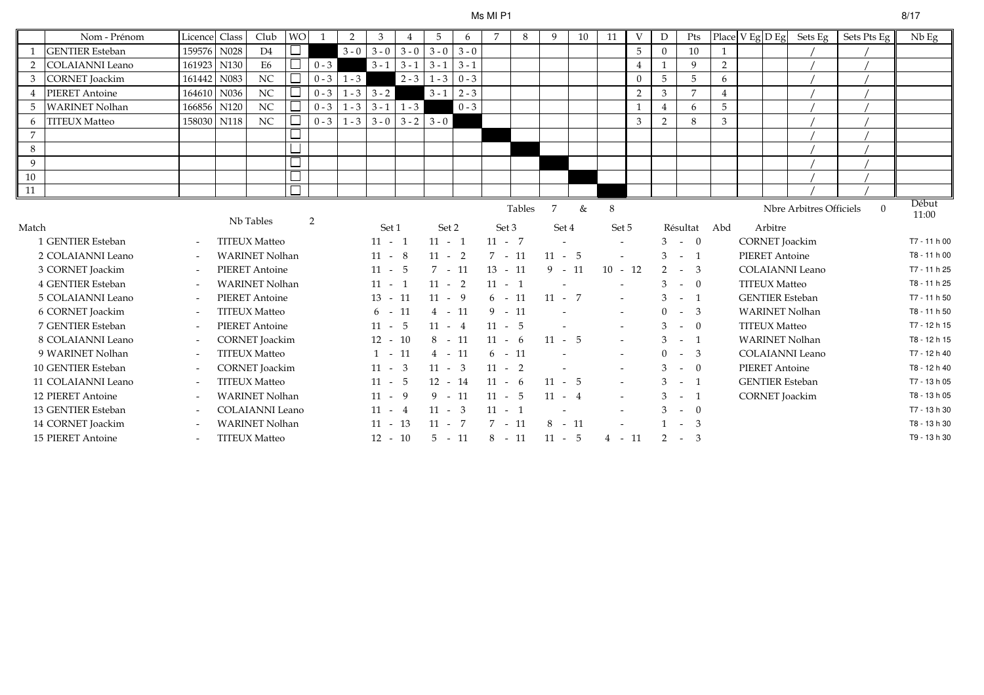#### Ms MI P1

|                | Nom - Prénom           | Licence                  | Class            | Club                   | <b>WO</b> | $\overline{1}$ | 2       | 3         | 4       | 5         | 6       | 7         | 8      | 9        | 10 | 11                       | V              | D              | Pts                          | Place V Eg D Eg |                       | Sets Eg                 | Sets Pts Eg | $Nb$ Eg        |
|----------------|------------------------|--------------------------|------------------|------------------------|-----------|----------------|---------|-----------|---------|-----------|---------|-----------|--------|----------|----|--------------------------|----------------|----------------|------------------------------|-----------------|-----------------------|-------------------------|-------------|----------------|
| 1              | <b>GENTIER</b> Esteban | 159576                   | N028             | D <sub>4</sub>         |           |                | $3 - 0$ | $3 - 0$   | $3 - 0$ | $3 - 0$   | $3 - 0$ |           |        |          |    |                          | 5              | $\Omega$       | 10                           |                 |                       |                         |             |                |
| 2              | <b>COLAIANNI</b> Leano | 161923                   | N130             | E <sub>6</sub>         |           | $0 - 3$        |         | $3 - 1$   | $3 - 1$ | $3 - 1$   | $3 - 1$ |           |        |          |    |                          | $\overline{4}$ |                | 9                            | 2               |                       |                         |             |                |
| $\mathfrak{Z}$ | <b>CORNET</b> Joackim  | 161442                   | N083             | NC                     |           | $0 - 3$        | $1 - 3$ |           | $2 - 3$ | $1 - 3$   | $0 - 3$ |           |        |          |    |                          | $\Omega$       | 5              | $5\overline{)}$              | 6               |                       |                         |             |                |
| $\overline{4}$ | <b>PIERET</b> Antoine  | 164610                   | N036             | NC                     |           | $0 - 3$        | $1 - 3$ | $3 - 2$   |         | $3 - 1$   | $2 - 3$ |           |        |          |    |                          | 2              | 3              | $\overline{7}$               | $\overline{4}$  |                       |                         |             |                |
| 5              | <b>WARINET Nolhan</b>  | 166856                   | N <sub>120</sub> | NC                     |           | $0 - 3$        | $1 - 3$ | $3 - 1$   | $1 - 3$ |           | $0 - 3$ |           |        |          |    |                          | $\mathbf{1}$   | $\overline{4}$ | 6                            | 5               |                       |                         |             |                |
| 6              | <b>TITEUX Matteo</b>   | 158030                   | N118             | $_{\mathrm{NC}}$       |           | $0 - 3$        | $1 - 3$ | $3 - 0$   | $3 - 2$ | $3 - 0$   |         |           |        |          |    |                          | 3              | $\overline{2}$ | 8                            | $\mathfrak{Z}$  |                       |                         |             |                |
| $\overline{7}$ |                        |                          |                  |                        |           |                |         |           |         |           |         |           |        |          |    |                          |                |                |                              |                 |                       |                         |             |                |
| 8              |                        |                          |                  |                        |           |                |         |           |         |           |         |           |        |          |    |                          |                |                |                              |                 |                       |                         |             |                |
| 9              |                        |                          |                  |                        |           |                |         |           |         |           |         |           |        |          |    |                          |                |                |                              |                 |                       |                         |             |                |
| $10\,$         |                        |                          |                  |                        |           |                |         |           |         |           |         |           |        |          |    |                          |                |                |                              |                 |                       |                         |             |                |
| 11             |                        |                          |                  |                        | $\Box$    |                |         |           |         |           |         |           |        |          |    |                          |                |                |                              |                 |                       |                         |             |                |
|                |                        |                          |                  | Nb Tables              |           |                |         |           |         |           |         |           | Tables | 7        | &  | 8                        |                |                |                              |                 |                       | Nbre Arbitres Officiels | $\theta$    | Début<br>11:00 |
| Match          |                        |                          |                  |                        |           | 2              |         | Set 1     |         | Set 2     |         | Set 3     |        | Set 4    |    | Set 5                    |                |                | Résultat Abd                 |                 | Arbitre               |                         |             |                |
|                | 1 GENTIER Esteban      | $\overline{\phantom{a}}$ |                  | <b>TITEUX Matteo</b>   |           |                |         | $11 - 1$  |         | $11 - 1$  |         | $11 - 7$  |        |          |    |                          |                |                | $3 - 0$                      |                 |                       | <b>CORNET</b> Joackim   |             | T7 - 11 h 00   |
|                | 2 COLAIANNI Leano      | $\overline{\phantom{a}}$ |                  | <b>WARINET Nolhan</b>  |           |                |         | $11 - 8$  |         | $11 - 2$  |         | $7 - 11$  |        | $11 - 5$ |    | $\blacksquare$           |                |                | $3 - 1$                      |                 | <b>PIERET Antoine</b> |                         |             | T8 - 11 h 00   |
|                | 3 CORNET Joackim       | $\sim$                   |                  | <b>PIERET Antoine</b>  |           |                |         | $11 - 5$  |         | $7 - 11$  |         | $13 - 11$ |        | $9 - 11$ |    | $10 - 12$                |                | $\overline{2}$ | $-3$                         |                 |                       | <b>COLAIANNI</b> Leano  |             | T7 - 11 h 25   |
|                | 4 GENTIER Esteban      | $\tilde{\phantom{a}}$    |                  | <b>WARINET Nolhan</b>  |           |                |         | $11 - 1$  |         | $11 - 2$  |         | $11 - 1$  |        |          |    |                          |                |                | $- 0$                        |                 | <b>TITEUX Matteo</b>  |                         |             | T8 - 11 h 25   |
|                | 5 COLAIANNI Leano      | $\overline{\phantom{a}}$ |                  | <b>PIERET Antoine</b>  |           |                |         | $13 - 11$ |         | $11 - 9$  |         | $6 - 11$  |        | $11 - 7$ |    | $\sim$                   |                | 3              | $-1$                         |                 |                       | <b>GENTIER</b> Esteban  |             | T7 - 11 h 50   |
|                | 6 CORNET Joackim       | $\overline{\phantom{a}}$ |                  | <b>TITEUX Matteo</b>   |           |                |         | $6 - 11$  |         | $4 - 11$  |         | $9 - 11$  |        |          |    | $\sim$                   |                | $\Omega$       | - 3<br>$\sim$ $-$            |                 |                       | <b>WARINET Nolhan</b>   |             | T8 - 11 h 50   |
|                | 7 GENTIER Esteban      | $\overline{\phantom{a}}$ |                  | <b>PIERET Antoine</b>  |           |                |         | $11 - 5$  |         | $11 - 4$  |         | $11 - 5$  |        |          |    |                          |                |                | $\overline{0}$<br>$\sim$ $-$ |                 | <b>TITEUX Matteo</b>  |                         |             | T7 - 12 h 15   |
|                | 8 COLAIANNI Leano      | $\tilde{\phantom{a}}$    |                  | <b>CORNET</b> Joackim  |           |                |         | $12 - 10$ |         | $8 - 11$  |         | $11 - 6$  |        | $11 - 5$ |    |                          |                |                | $\overline{1}$<br>$\sim$     |                 |                       | <b>WARINET Nolhan</b>   |             | T8 - 12 h 15   |
|                | 9 WARINET Nolhan       | $\tilde{\phantom{a}}$    |                  | <b>TITEUX Matteo</b>   |           |                |         | $1 - 11$  |         | $4 - 11$  |         | $6 - 11$  |        |          |    |                          |                | $\Omega$       | - 3<br>$\sim$ $-$            |                 |                       | <b>COLAIANNI</b> Leano  |             | T7 - 12 h 40   |
|                | 10 GENTIER Esteban     | $\tilde{\phantom{a}}$    |                  | <b>CORNET</b> Joackim  |           |                |         | $11 - 3$  |         | $11 - 3$  |         | $11 - 2$  |        |          |    | $\overline{\phantom{a}}$ |                |                | $\overline{0}$<br>$\sim$     |                 | <b>PIERET Antoine</b> |                         |             | T8 - 12 h 40   |
|                | 11 COLAIANNI Leano     | $\tilde{\phantom{a}}$    |                  | <b>TITEUX Matteo</b>   |           |                |         | $11 - 5$  |         | $12 - 14$ |         | $11 - 6$  |        | $11 - 5$ |    |                          |                |                | $-1$                         |                 |                       | <b>GENTIER</b> Esteban  |             | T7 - 13 h 05   |
|                | 12 PIERET Antoine      | $\sim$                   |                  | <b>WARINET Nolhan</b>  |           |                |         | $11 - 9$  |         | $9 - 11$  |         | $11 - 5$  |        | $11 - 4$ |    |                          |                |                | $\overline{1}$<br>$\sim$     |                 |                       | <b>CORNET</b> Joackim   |             | T8 - 13 h 05   |
|                | 13 GENTIER Esteban     | $\overline{\phantom{a}}$ |                  | <b>COLAIANNI Leano</b> |           |                |         | $11 - 4$  |         | $11 - 3$  |         | $11 - 1$  |        |          |    |                          |                |                | $\theta$<br>$\sim$           |                 |                       |                         |             | T7 - 13 h 30   |
|                | 14 CORNET Joackim      | $\overline{\phantom{a}}$ |                  | <b>WARINET Nolhan</b>  |           |                |         | $11 - 13$ |         | $11 - 7$  |         | $7 - 11$  |        | $8 - 11$ |    |                          |                |                | -3<br>$\sim$                 |                 |                       |                         |             | T8 - 13 h 30   |
|                | 15 PIERET Antoine      | $\overline{\phantom{a}}$ |                  | <b>TITEUX Matteo</b>   |           |                |         | $12 - 10$ |         | $5 - 11$  |         | $8 - 11$  |        | $11 - 5$ |    | $4 - 11$                 |                | 2              | $-3$                         |                 |                       |                         |             | T9 - 13 h 30   |
|                |                        |                          |                  |                        |           |                |         |           |         |           |         |           |        |          |    |                          |                |                |                              |                 |                       |                         |             |                |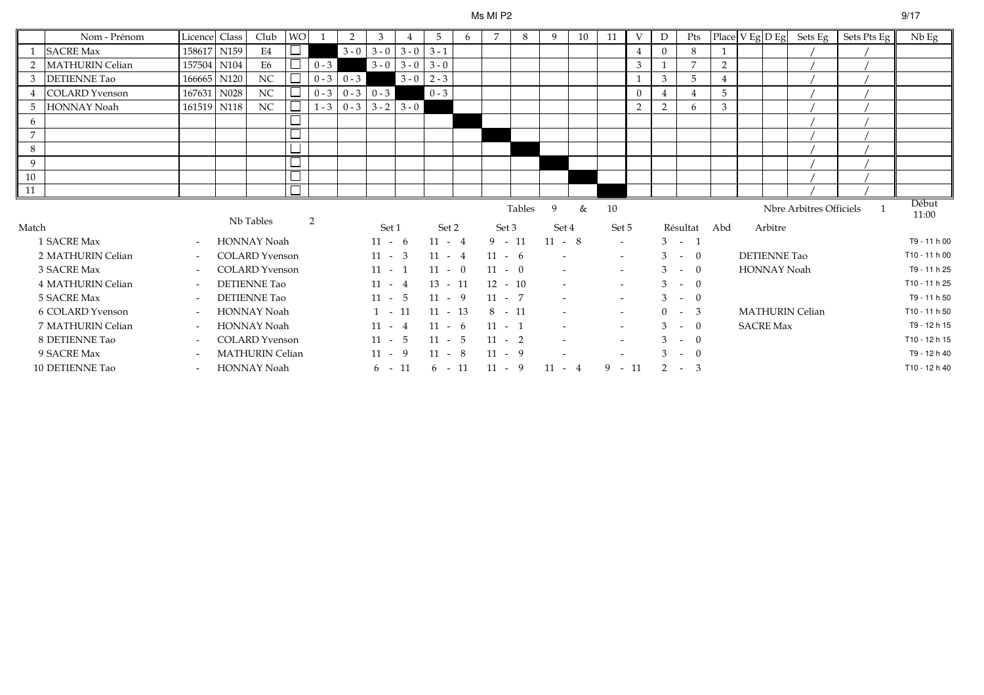#### Ms MI P2

|                | Nom - Prénom           | Licence Class            | Club                   | <b>WO</b> |                | 2               | 3        |               |           | 6 | 7         | 8      | 9        | 10 | 11                       | V             |               | Pts                |                |                     | $\left  \text{Place} \right  \text{V Eg} \left  \text{D Eg} \right $ Sets Eg | Sets Pts Eg | $Nb$ Eg        |
|----------------|------------------------|--------------------------|------------------------|-----------|----------------|-----------------|----------|---------------|-----------|---|-----------|--------|----------|----|--------------------------|---------------|---------------|--------------------|----------------|---------------------|------------------------------------------------------------------------------|-------------|----------------|
|                | <b>SACRE Max</b>       | 158617 N159              | E4                     |           |                | $3 - 0$         | $3 - 0$  | $3 - 0$       | $3 - 1$   |   |           |        |          |    |                          |               | $\Omega$      | 8                  |                |                     |                                                                              |             |                |
|                | <b>MATHURIN Celian</b> | 157504 N104              | E <sub>6</sub>         |           | $0 - 3$        |                 | $3 - 0$  | $3 - 0$       | $3 - 0$   |   |           |        |          |    |                          | 3             |               |                    | 2              |                     |                                                                              |             |                |
| 3              | <b>DETIENNE Tao</b>    | 166665 N120              | NC                     |           | $0 - 3$        | $0 - 3$         |          | $3 - 0$       | $2 - 3$   |   |           |        |          |    |                          |               | 3             | 5                  | $\overline{4}$ |                     |                                                                              |             |                |
|                | <b>COLARD</b> Yvenson  | 167631 N028              | NC                     |           | $0 - 3$        | $0 - 3 \ 0 - 3$ |          |               | $0 - 3$   |   |           |        |          |    |                          | $\Omega$      |               |                    | 5              |                     |                                                                              |             |                |
| 5              | <b>HONNAY Noah</b>     | 161519 N118              | NC                     |           | $1 - 3$        | $0 - 3$         |          | $3 - 2$ 3 - 0 |           |   |           |        |          |    |                          | $\mathcal{D}$ | $\mathcal{D}$ | 6                  | 3              |                     |                                                                              |             |                |
| 6              |                        |                          |                        |           |                |                 |          |               |           |   |           |        |          |    |                          |               |               |                    |                |                     |                                                                              |             |                |
| $\overline{7}$ |                        |                          |                        |           |                |                 |          |               |           |   |           |        |          |    |                          |               |               |                    |                |                     |                                                                              |             |                |
| 8              |                        |                          |                        |           |                |                 |          |               |           |   |           |        |          |    |                          |               |               |                    |                |                     |                                                                              |             |                |
| 9              |                        |                          |                        |           |                |                 |          |               |           |   |           |        |          |    |                          |               |               |                    |                |                     |                                                                              |             |                |
| 10             |                        |                          |                        |           |                |                 |          |               |           |   |           |        |          |    |                          |               |               |                    |                |                     |                                                                              |             |                |
| 11             |                        |                          |                        |           |                |                 |          |               |           |   |           |        |          |    |                          |               |               |                    |                |                     |                                                                              |             |                |
|                |                        |                          | Nb Tables              |           | $\overline{2}$ |                 |          |               |           |   |           | Tables | 9        | &  | 10                       |               |               |                    |                |                     | Nbre Arbitres Officiels                                                      |             | Début<br>11:00 |
| Match          |                        |                          |                        |           |                |                 | Set 1    |               | Set 2     |   | Set 3     |        | Set 4    |    | Set 5                    |               |               | Résultat           | Abd            | Arbitre             |                                                                              |             |                |
|                | 1 SACRE Max            | $\overline{\phantom{a}}$ | <b>HONNAY Noah</b>     |           |                |                 | $11 - 6$ |               | $11 - 4$  |   | $9 - 11$  |        | $11 - 8$ |    | $\sim$                   |               |               | $3 - 1$            |                |                     |                                                                              |             | T9 - 11 h 00   |
|                | 2 MATHURIN Celian      | $\overline{\phantom{a}}$ | <b>COLARD</b> Yvenson  |           |                |                 | $11 - 3$ |               | $11 - 4$  |   | $11 - 6$  |        |          |    | $\sim$                   |               | $3 - -$       | $\overline{0}$     |                | <b>DETIENNE Tao</b> |                                                                              |             | T10 - 11 h 00  |
|                | 3 SACRE Max            | $\overline{\phantom{a}}$ | <b>COLARD</b> Yvenson  |           |                |                 | $11 - 1$ |               | $11 - 0$  |   | $11 - 0$  |        |          |    | $\sim$                   |               |               | $3 - 0$            |                | <b>HONNAY Noah</b>  |                                                                              |             | T9 - 11 h 25   |
|                | 4 MATHURIN Celian      | $\sim$                   | <b>DETIENNE Tao</b>    |           |                |                 | $11 - 4$ |               | $13 - 11$ |   | $12 - 10$ |        |          |    | $\sim$                   |               | $3 - -$       | $\overline{0}$     |                |                     |                                                                              |             | T10 - 11 h 25  |
|                | 5 SACRE Max            | $\overline{\phantom{a}}$ | DETIENNE Tao           |           |                |                 | $11 - 5$ |               | $11 - 9$  |   | $11 - 7$  |        |          |    | $\overline{\phantom{a}}$ |               | $3 - 1$       | $\theta$           |                |                     |                                                                              |             | T9 - 11 h 50   |
|                | 6 COLARD Yvenson       | $\overline{\phantom{a}}$ | <b>HONNAY Noah</b>     |           |                |                 | $1 - 11$ |               | $11 - 13$ |   | $8 - 11$  |        |          |    | $\sim$                   |               | $0 -$         | -3                 |                |                     | <b>MATHURIN Celian</b>                                                       |             | T10 - 11 h 50  |
|                | 7 MATHURIN Celian      | $\overline{\phantom{a}}$ | HONNAY Noah            |           |                |                 | $11 - 4$ |               | $11 - 6$  |   | $11 - 1$  |        |          |    | $\blacksquare$           |               | $\mathcal{E}$ | $\theta$<br>$\sim$ |                | <b>SACRE Max</b>    |                                                                              |             | T9 - 12 h 15   |
|                | 8 DETIENNE Tao         | $\sim$                   | <b>COLARD</b> Yvenson  |           |                |                 | $11 - 5$ |               | $11 - 5$  |   | $11 - 2$  |        |          |    | $\sim$                   |               | 3             | $\Omega$<br>$\sim$ |                |                     |                                                                              |             | T10 - 12 h 15  |
|                | 9 SACRE Max            | $\overline{\phantom{a}}$ | <b>MATHURIN Celian</b> |           |                |                 | $11 - 9$ |               | $11 - 8$  |   | $11 - 9$  |        |          |    |                          |               | 3             | $\Omega$<br>$\sim$ |                |                     |                                                                              |             | T9 - 12 h 40   |
|                | 10 DETIENNE Tao        | $\sim$                   | HONNAY Noah            |           |                |                 | $6 - 11$ |               | $6 - 11$  |   | $11 - 9$  |        | $11 - 4$ |    | $9 - 11$                 |               | $\mathcal{P}$ | $-3$               |                |                     |                                                                              |             | T10 - 12 h 40  |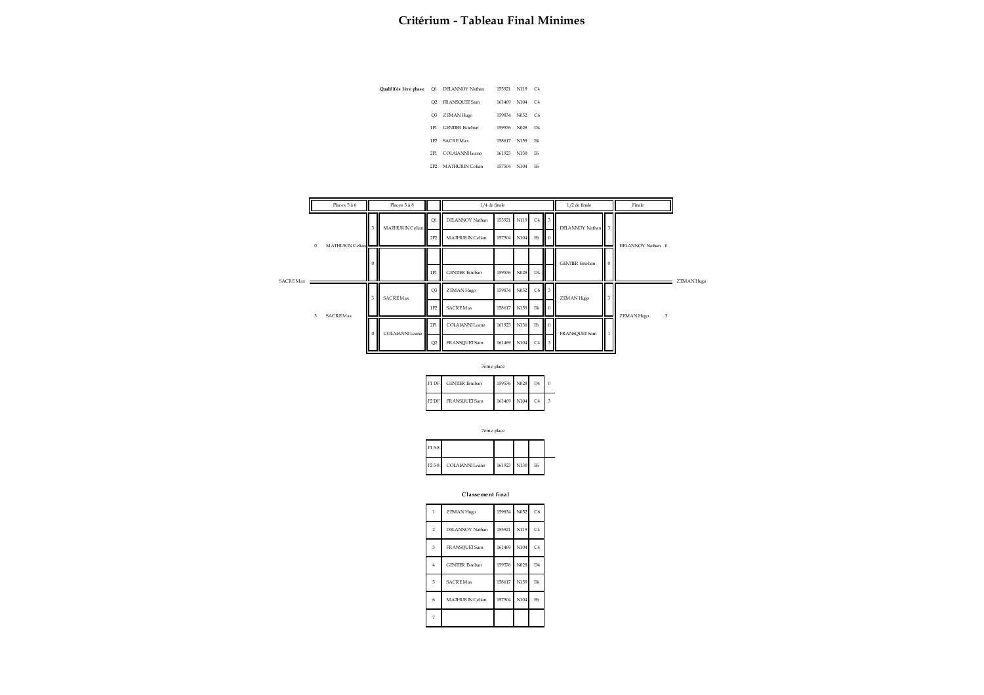|                 | Qualif if és 1ère phase  Q1  DELANNOY Nathan | 155921 | N119 C4 |                       |
|-----------------|----------------------------------------------|--------|---------|-----------------------|
| O2              | FRANSOUET Sam                                | 161469 | N104    | C <sub>4</sub>        |
| O <sub>3</sub>  | ZEMAN Hugo                                   | 159834 | N052    | C6                    |
| <b>1P1</b>      | <b>GENTIER Esteban</b>                       | 159576 | N028    | $\Gamma$ <sub>4</sub> |
| 1P <sub>2</sub> | <b>SACREMax</b>                              | 158617 | N159    | <b>E4</b>             |
| 2P1             | COLAJANNI Leano                              | 161923 | N130    | F6                    |
| 2P2             | MATHURIN Celian                              | 157504 | N104    | F6                    |

|          |          | Places 5 à 6    |          | Places 5 à 8    |                | $1/4$ de finale        |             |      |                |                | $1/2$ de finale        |                | Finale            |            |
|----------|----------|-----------------|----------|-----------------|----------------|------------------------|-------------|------|----------------|----------------|------------------------|----------------|-------------------|------------|
|          |          |                 |          | MATHURIN Celian | O1             | DELANNOY Nathan        | 155921      | N119 | C <sub>4</sub> |                | DELANNOY Nathan 3      |                |                   |            |
|          | $\theta$ | MATHURIN Celian |          |                 | 2P2            | MATHURIN Celian        | 157504 N104 |      | <b>E6</b>      | $\Omega$       |                        |                | DELANNOY Nathan 0 |            |
|          |          |                 | $\bf{0}$ |                 |                |                        |             |      |                |                | <b>GENTIER</b> Esteban | $\Omega$       |                   |            |
| SACREMax |          |                 |          |                 | 1P1            | <b>GENTIER</b> Esteban | 159576      | N028 | D <sub>4</sub> |                |                        |                |                   | ZEMAN Hugo |
|          |          |                 |          | SACREMax        | O <sub>3</sub> | ZEMAN Hugo             | 159834      | N052 | $C6$ 3         |                | ZEMAN Hugo             | 3 <sup>1</sup> |                   |            |
|          | 3        | <b>SACREMax</b> |          |                 | 1P2            | SACREMax               | 158617      | N159 | <b>E4</b>      | $\blacksquare$ |                        |                | ZEMAN Hugo<br>3   |            |
|          |          |                 |          | COLAIANNI Leano | 2P1            | COLAIANNI Leano        | 161923      | N130 | E6             | l O            | FRANSQUET Sam          |                |                   |            |
|          |          |                 |          |                 | O2             | FRANSQUET Sam          | 161469      | N104 | C4             | $\overline{3}$ |                        |                |                   |            |

3ème place

| P1 DF   | <b>GENTIER</b> Esteban | 159576 N028 | D4             |   |
|---------|------------------------|-------------|----------------|---|
| $P2$ DF | FRANSOUET Sam          | 161469 N104 | C <sub>4</sub> | 3 |

|                    | тепис рассе     |             |    |  |
|--------------------|-----------------|-------------|----|--|
| P1 5-8             |                 |             |    |  |
| P <sub>2</sub> 5-8 | COLAIANNI Leano | 161923 N130 | E6 |  |

7ème place

**Classement final**

| $\mathbf{1}$   | ZEMAN Hugo             | 159834 N052 |      | C6             |
|----------------|------------------------|-------------|------|----------------|
| $\overline{2}$ | DELANNOY Nathan        | 155921      | N119 | C <sub>4</sub> |
| $\overline{3}$ | FRANSQUET Sam          | 161469      | N104 | C <sub>4</sub> |
| $\overline{4}$ | <b>GENTIER</b> Esteban | 159576      | N028 | D <sub>4</sub> |
| 5              | <b>SACREMax</b>        | 158617      | N159 | E <sub>4</sub> |
| 6              | <b>MATHURIN Celian</b> | 157504      | N104 | E6             |
| 7              |                        |             |      |                |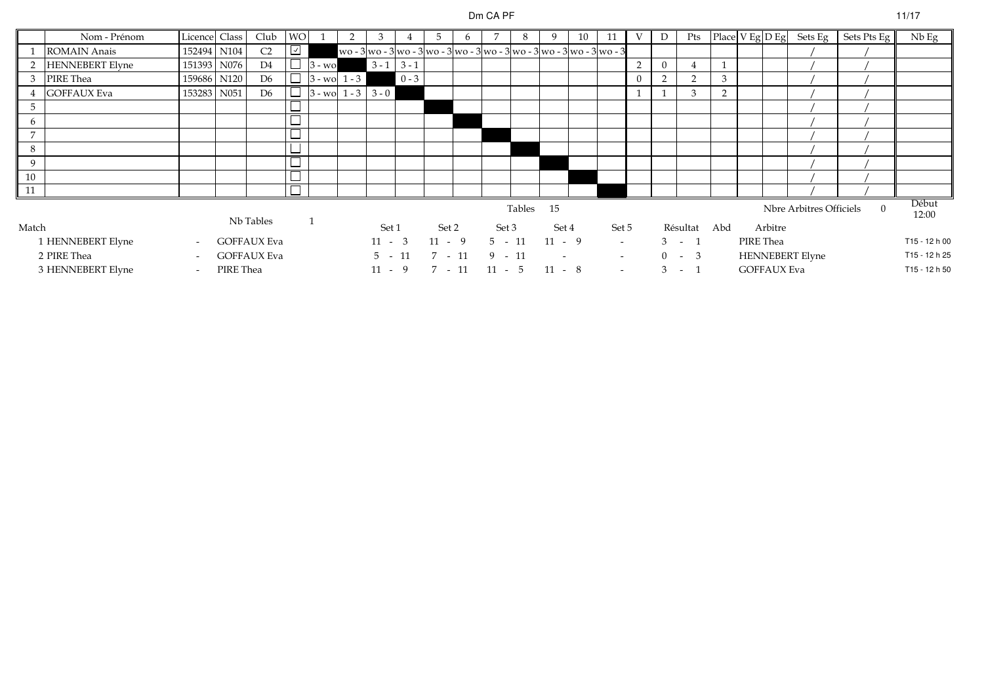#### Dm CA PF

|       | Nom - Prénom           | Licence Class            |           | Club               | <b>WO</b>  |           |                      | 3        |               | 5                                                                            | $\sigma$ | 7        | 8 |                | 10 | 11     |   | D | Pts          |   |           |                         | Place $V$ Eg $D$ Eg Sets Eg | Sets Pts Eg    | Nb Eg         |
|-------|------------------------|--------------------------|-----------|--------------------|------------|-----------|----------------------|----------|---------------|------------------------------------------------------------------------------|----------|----------|---|----------------|----|--------|---|---|--------------|---|-----------|-------------------------|-----------------------------|----------------|---------------|
|       | <b>ROMAIN Anais</b>    | 152494 N104              |           | C <sub>2</sub>     | $\sqrt{2}$ |           |                      |          |               | wo - 3 wo - 3 wo - 3 wo - 3 wo - 3 wo - 3 wo - 3 wo - 3 wo - 3 wo - 3 wo - 3 |          |          |   |                |    |        |   |   |              |   |           |                         |                             |                |               |
|       | <b>HENNEBERT Elyne</b> | 151393                   | N076      | D <sub>4</sub>     |            | $3 - w_0$ |                      |          | $3 - 1$ 3 - 1 |                                                                              |          |          |   |                |    |        | 2 |   |              |   |           |                         |                             |                |               |
| 3     | PIRE Thea              | 159686 N120              |           | D <sub>6</sub>     | $\Box$     |           | $3 - w_0$ 1 - 3      |          | $0 - 3$       |                                                                              |          |          |   |                |    |        |   |   |              | 3 |           |                         |                             |                |               |
|       | <b>GOFFAUX Eva</b>     | 153283 N051              |           | D <sub>6</sub>     | $\Box$     |           | $3 - wo$ 1 - 3 3 - 0 |          |               |                                                                              |          |          |   |                |    |        |   |   | 3            |   |           |                         |                             |                |               |
|       |                        |                          |           |                    | ᄂ          |           |                      |          |               |                                                                              |          |          |   |                |    |        |   |   |              |   |           |                         |                             |                |               |
|       |                        |                          |           |                    | ᆜ          |           |                      |          |               |                                                                              |          |          |   |                |    |        |   |   |              |   |           |                         |                             |                |               |
| 7     |                        |                          |           |                    |            |           |                      |          |               |                                                                              |          |          |   |                |    |        |   |   |              |   |           |                         |                             |                |               |
| 8     |                        |                          |           |                    | ᆜ          |           |                      |          |               |                                                                              |          |          |   |                |    |        |   |   |              |   |           |                         |                             |                |               |
| 9     |                        |                          |           |                    | $\Box$     |           |                      |          |               |                                                                              |          |          |   |                |    |        |   |   |              |   |           |                         |                             |                |               |
| 10    |                        |                          |           |                    | $\Box$     |           |                      |          |               |                                                                              |          |          |   |                |    |        |   |   |              |   |           |                         |                             |                |               |
| 11    |                        |                          |           |                    | $\Box$     |           |                      |          |               |                                                                              |          |          |   |                |    |        |   |   |              |   |           |                         |                             |                |               |
|       |                        |                          |           |                    |            |           | Tables 15            |          |               |                                                                              |          |          |   |                |    |        |   |   |              |   |           | Nbre Arbitres Officiels | $\Omega$                    | Début<br>12:00 |               |
| Match |                        |                          |           | Nb Tables          |            |           |                      | Set 1    |               | Set 2                                                                        |          | Set 3    |   | Set 4          |    | Set 5  |   |   | Résultat Abd |   |           | Arbitre                 |                             |                |               |
|       | 1 HENNEBERT Elyne      | $\sim$                   |           | <b>GOFFAUX Eva</b> |            |           |                      | $11 - 3$ |               | $11 - 9$                                                                     |          | $5 - 11$ |   | $11 - 9$       |    | $\sim$ |   |   | $3 - 1$      |   | PIRE Thea |                         |                             |                | T15 - 12 h 00 |
|       | 2 PIRE Thea            | $\overline{\phantom{a}}$ |           | <b>GOFFAUX Eva</b> |            |           |                      | $5 - 11$ |               | $7 - 11$                                                                     |          | $9 - 11$ |   | $\overline{a}$ |    | $\sim$ |   |   | $0 - 3$      |   |           |                         | <b>HENNEBERT Elyne</b>      |                | T15 - 12 h 25 |
|       | 3 HENNEBERT Elyne      | $\tilde{\phantom{a}}$    | PIRE Thea |                    |            |           |                      | $11 - 9$ |               | 7 - 11                                                                       |          | $11 - 5$ |   | $11 - 8$       |    | $\sim$ |   | 3 | $-1$         |   |           | <b>GOFFAUX Eva</b>      | T15 - 12 h 50               |                |               |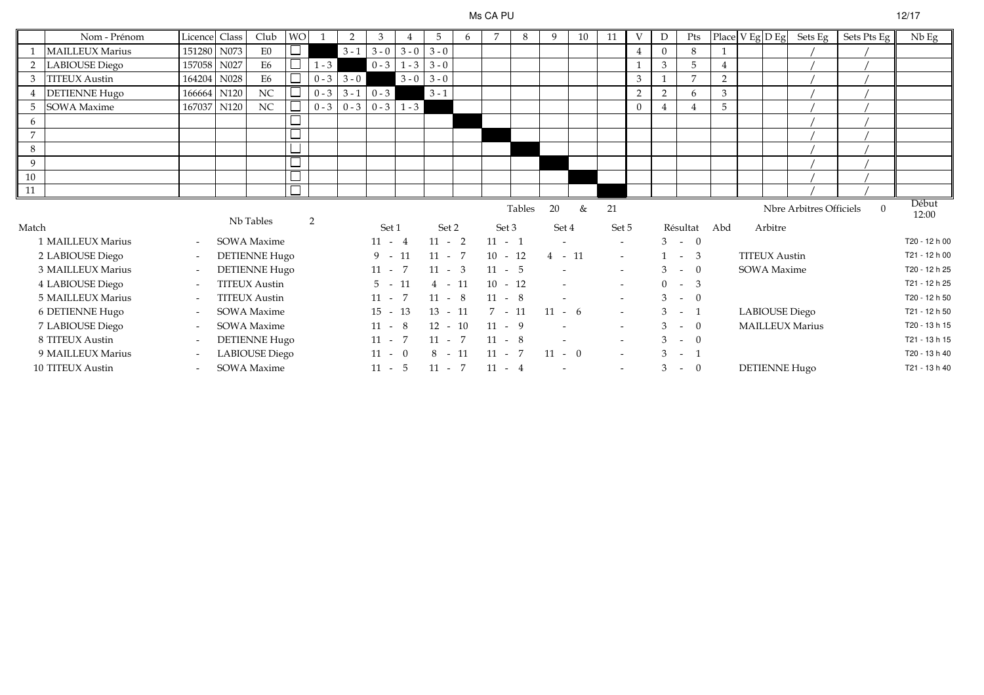#### Ms CA PU

|                | Nom - Prénom           | Licencel                  | Class | Club                  | <b>WO</b> |         | 2             | 3         |               | 5         | 6 | 7         | 8 | 9        | 10 | 11                       | V              | D            | Pts            |     | Place $V$ Eg $D$ Eg  | Sets Eg                 | Sets Pts Eg | $Nb$ Eg        |
|----------------|------------------------|---------------------------|-------|-----------------------|-----------|---------|---------------|-----------|---------------|-----------|---|-----------|---|----------|----|--------------------------|----------------|--------------|----------------|-----|----------------------|-------------------------|-------------|----------------|
|                | <b>MAILLEUX Marius</b> | 151280 N073               |       | E0                    |           |         | $3 - 1$       | $3 - 0$   | $3 - 0$       | $3 - 0$   |   |           |   |          |    |                          |                | $\Omega$     | 8              |     |                      |                         |             |                |
| 2              | LABIOUSE Diego         | 157058 N027               |       | E6                    |           | $1 - 3$ |               |           | $0 - 3$ 1 - 3 | $3 - 0$   |   |           |   |          |    |                          |                | 3            | 5              |     |                      |                         |             |                |
| 3              | <b>TITEUX</b> Austin   | 164204 N028               |       | E6                    |           | $0 - 3$ | $3 - 0$       |           | $3 - 0$       | $3 - 0$   |   |           |   |          |    |                          | 3              |              | $\overline{7}$ | 2   |                      |                         |             |                |
| $\overline{4}$ | <b>DETIENNE Hugo</b>   | 166664 N120               |       | $\rm NC$              |           |         | $0 - 3$ 3 - 1 | $0 - 3$   |               | $3 - 1$   |   |           |   |          |    |                          | 2              | 2            | 6              | 3   |                      |                         |             |                |
| 5              | <b>SOWA</b> Maxime     | 167037 N120               |       | NC                    |           |         | $0 - 3$ 0 - 3 |           | $0 - 3$ 1 - 3 |           |   |           |   |          |    |                          | $\overline{0}$ |              | $\overline{4}$ | 5   |                      |                         |             |                |
| 6              |                        |                           |       |                       |           |         |               |           |               |           |   |           |   |          |    |                          |                |              |                |     |                      |                         |             |                |
| $\overline{7}$ |                        |                           |       |                       |           |         |               |           |               |           |   |           |   |          |    |                          |                |              |                |     |                      |                         |             |                |
| 8              |                        |                           |       |                       |           |         |               |           |               |           |   |           |   |          |    |                          |                |              |                |     |                      |                         |             |                |
| 9              |                        |                           |       |                       |           |         |               |           |               |           |   |           |   |          |    |                          |                |              |                |     |                      |                         |             |                |
| 10             |                        |                           |       |                       |           |         |               |           |               |           |   |           |   |          |    |                          |                |              |                |     |                      |                         |             |                |
| 11             |                        |                           |       |                       |           |         |               |           |               |           |   |           |   |          |    |                          |                |              |                |     |                      |                         |             |                |
|                |                        | Tables<br>20<br>Nb Tables |       |                       |           |         |               |           |               |           |   |           |   |          |    | 21                       |                |              |                |     |                      | Nbre Arbitres Officiels | $\Omega$    | Début<br>12:00 |
| Match          |                        |                           |       |                       |           | 2       |               | Set 1     |               | Set 2     |   | Set 3     |   | Set 4    |    | Set 5                    |                |              | Résultat       | Abd | Arbitre              |                         |             |                |
|                | 1 MAILLEUX Marius      | $\sim$                    |       | SOWA Maxime           |           |         |               | $11 - 4$  |               | $11 - 2$  |   | $11 - 1$  |   |          |    | $\sim$                   |                |              | $3 - 0$        |     |                      |                         |             | T20 - 12 h 00  |
|                | 2 LABIOUSE Diego       | $\overline{\phantom{a}}$  |       | <b>DETIENNE Hugo</b>  |           |         |               | $9 - 11$  |               | $11 - 7$  |   | $10 - 12$ |   | $4 - 11$ |    | $\sim$                   |                |              | $1 - 3$        |     | <b>TITEUX Austin</b> |                         |             | T21 - 12 h 00  |
|                | 3 MAILLEUX Marius      | $\overline{\phantom{a}}$  |       | <b>DETIENNE Hugo</b>  |           |         |               | $11 - 7$  |               | $11 - 3$  |   | $11 - 5$  |   |          |    | $\sim$                   |                |              | $3 - 0$        |     | <b>SOWA</b> Maxime   |                         |             | T20 - 12 h 25  |
|                | 4 LABIOUSE Diego       | $\sim$                    |       | <b>TITEUX Austin</b>  |           |         |               | $5 - 11$  |               | $4 - 11$  |   | $10 - 12$ |   |          |    | $\sim$                   |                |              | $0 - 3$        |     |                      |                         |             | T21 - 12 h 25  |
|                | 5 MAILLEUX Marius      | $\overline{\phantom{a}}$  |       | <b>TITEUX Austin</b>  |           |         |               | $11 - 7$  |               | $11 - 8$  |   | $11 - 8$  |   |          |    | $\sim$                   |                |              | $3 - 0$        |     |                      |                         |             | T20 - 12 h 50  |
|                | 6 DETIENNE Hugo        | $\overline{\phantom{a}}$  |       | SOWA Maxime           |           |         |               | $15 - 13$ |               | $13 - 11$ |   | $7 - 11$  |   | $11 - 6$ |    | $\sim$                   |                |              | $3 - 1$        |     |                      | <b>LABIOUSE</b> Diego   |             | T21 - 12 h 50  |
|                | 7 LABIOUSE Diego       | $\overline{\phantom{a}}$  |       | SOWA Maxime           |           |         |               | $11 - 8$  |               | $12 - 10$ |   | $11 - 9$  |   |          |    | $\overline{\phantom{a}}$ |                |              | $3 - 0$        |     |                      | MAILLEUX Marius         |             | T20 - 13 h 15  |
|                | 8 TITEUX Austin        | $\overline{\phantom{a}}$  |       | <b>DETIENNE Hugo</b>  |           |         |               | $11 - 7$  |               | $11 - 7$  |   | $11 - 8$  |   | $\sim$   |    | $\sim$                   |                |              | $3 - 0$        |     |                      |                         |             | T21 - 13 h 15  |
|                | 9 MAILLEUX Marius      |                           |       | <b>LABIOUSE</b> Diego |           |         |               | $11 - 0$  |               | $8 - 11$  |   | $11 - 7$  |   | $11 - 0$ |    | $\sim$                   |                | $\mathbf{3}$ | $-1$           |     |                      |                         |             | T20 - 13 h 40  |
|                | 10 TITEUX Austin       |                           |       | <b>SOWA Maxime</b>    |           |         |               | $11 - 5$  |               | $11 - 7$  |   | $11 - 4$  |   |          |    | $\blacksquare$           |                | 3            | $-0$           |     |                      | <b>DETIENNE Hugo</b>    |             | T21 - 13 h 40  |

# $U$  12/17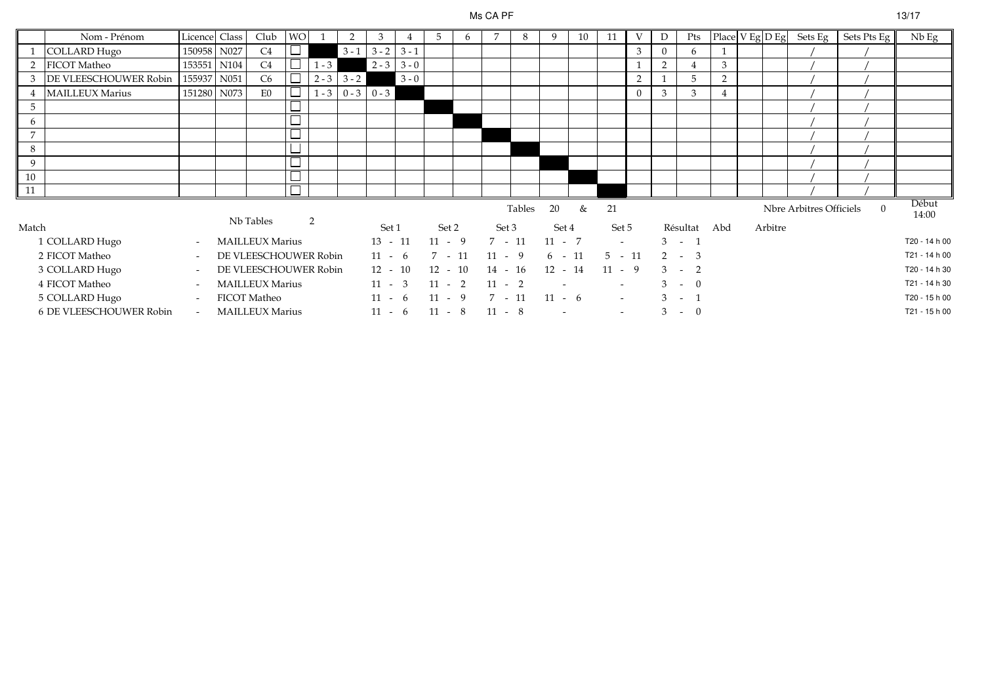### Ms CA PF

|                | Nom - Prénom            | Licence Class            |      | Club                   | <b>WO</b>                |         | 2             |                     |               | 5         | 6 | 7         | 8      | 9         | 10 | 11       | V        | D        | Pts             | Place V Eg D Eg |         | Sets Eg                 | Sets Pts Eg | Nb Eg          |
|----------------|-------------------------|--------------------------|------|------------------------|--------------------------|---------|---------------|---------------------|---------------|-----------|---|-----------|--------|-----------|----|----------|----------|----------|-----------------|-----------------|---------|-------------------------|-------------|----------------|
|                | COLLARD Hugo            | 150958                   | N027 | C4                     |                          |         | $3 - 1$       | $3 - 2$             | $3 - 1$       |           |   |           |        |           |    |          | 3        | $\Omega$ | 6               |                 |         |                         |             |                |
| 2              | <b>FICOT Matheo</b>     | 153551 N104              |      | C4                     | $\overline{\phantom{a}}$ | $1 - 3$ |               |                     | $2 - 3$ 3 - 0 |           |   |           |        |           |    |          |          | 2        |                 | 3               |         |                         |             |                |
|                | 3 DE VLEESCHOUWER Robin | 155937 N051              |      | C6                     | $\overline{\Box}$        |         | $2 - 3$ 3 - 2 |                     | $3 - 0$       |           |   |           |        |           |    |          | 2        |          | 5               | 2               |         |                         |             |                |
|                | <b>MAILLEUX Marius</b>  | 151280                   | N073 | E0                     | $\Box$                   |         |               | $1 - 3$ 0 - 3 0 - 3 |               |           |   |           |        |           |    |          | $\Omega$ | 3        | 3               | 4               |         |                         |             |                |
| 5              |                         |                          |      |                        |                          |         |               |                     |               |           |   |           |        |           |    |          |          |          |                 |                 |         |                         |             |                |
|                |                         |                          |      |                        | ᆸ                        |         |               |                     |               |           |   |           |        |           |    |          |          |          |                 |                 |         |                         |             |                |
| $\overline{7}$ |                         |                          |      |                        | –                        |         |               |                     |               |           |   |           |        |           |    |          |          |          |                 |                 |         |                         |             |                |
| 8              |                         |                          |      |                        |                          |         |               |                     |               |           |   |           |        |           |    |          |          |          |                 |                 |         |                         |             |                |
| 9              |                         |                          |      |                        | $\Box$                   |         |               |                     |               |           |   |           |        |           |    |          |          |          |                 |                 |         |                         |             |                |
| 10             |                         |                          |      |                        | $\overline{\phantom{0}}$ |         |               |                     |               |           |   |           |        |           |    |          |          |          |                 |                 |         |                         |             |                |
| 11             |                         |                          |      |                        |                          |         |               |                     |               |           |   |           |        |           |    |          |          |          |                 |                 |         |                         |             |                |
|                |                         |                          |      | Nb Tables              |                          | 2       |               |                     |               |           |   |           | Tables | 20        | &  | 21       |          |          |                 |                 |         | Nbre Arbitres Officiels | $\Omega$    | Début<br>14:00 |
| Match          |                         |                          |      |                        |                          |         |               | Set 1               |               | Set 2     |   | Set 3     |        | Set 4     |    | Set 5    |          |          | Résultat Abd    |                 | Arbitre |                         |             |                |
|                | 1 COLLARD Hugo          | $\sim$                   |      | <b>MAILLEUX Marius</b> |                          |         |               | $13 - 11$           |               | $11 - 9$  |   | $7 - 11$  |        | $11 - 7$  |    | $\sim$   |          |          | $3 - 1$         |                 |         |                         |             | T20 - 14 h 00  |
|                | 2 FICOT Matheo          | $\sim$                   |      | DE VLEESCHOUWER Robin  |                          |         |               | $11 - 6$            |               | $7 - 11$  |   | $11 - 9$  |        | $6 - 11$  |    | $5 - 11$ |          | 2        | $-3$            |                 |         |                         |             | T21 - 14 h 00  |
|                | 3 COLLARD Hugo          | $\overline{\phantom{a}}$ |      | DE VLEESCHOUWER Robin  |                          |         |               | $12 - 10$           |               | $12 - 10$ |   | $14 - 16$ |        | $12 - 14$ |    | $11 - 9$ |          |          | $3 - 2$         |                 |         |                         |             | T20 - 14 h 30  |
|                | 4 FICOT Matheo          | $\overline{\phantom{a}}$ |      | <b>MAILLEUX Marius</b> |                          |         |               | $11 - 3$            |               | $11 - 2$  |   | $11 - 2$  |        |           |    |          |          |          | $-0$            |                 |         |                         |             | T21 - 14 h 30  |
|                | 5 COLLARD Hugo          | $\sim$                   |      | <b>FICOT Matheo</b>    |                          |         |               | $11 - 6$            |               | $11 - 9$  |   | $7 - 11$  |        | $11 - 6$  |    | $\sim$   |          | 3        | $\sim 10^{-10}$ |                 |         |                         |             | T20 - 15 h 00  |
|                | 6 DE VLEESCHOUWER Robin | $\sim$                   |      | <b>MAILLEUX Marius</b> |                          |         |               | $11 - 6$            |               | $11 - 8$  |   | $11 - 8$  |        |           |    | $\sim$   |          |          | $3 - 0$         |                 |         |                         |             | T21 - 15 h 00  |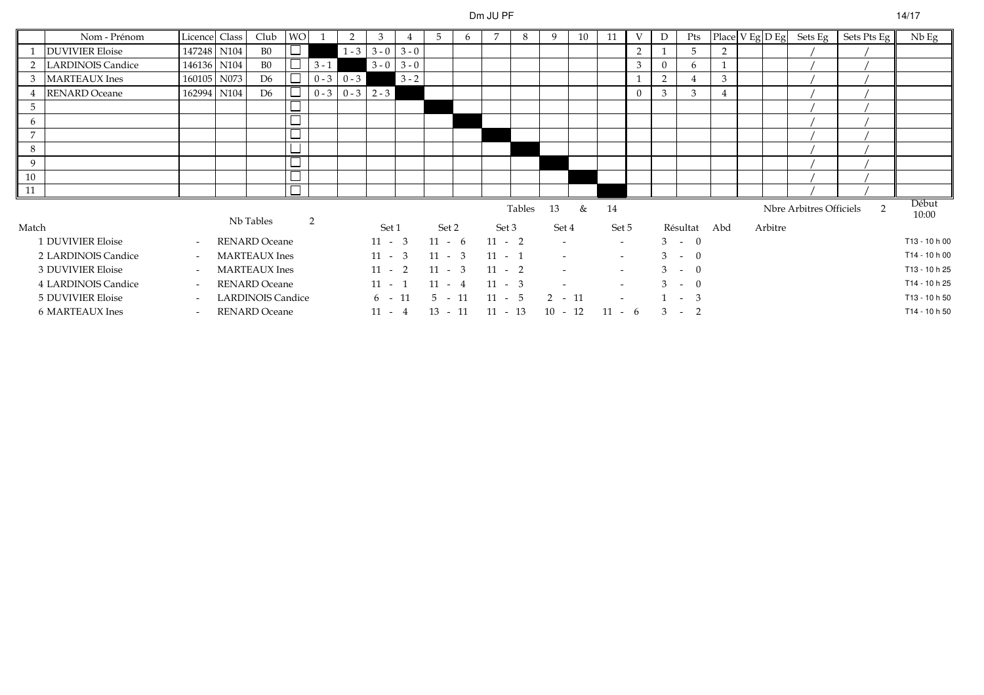# Dm JU PF

|                | Nom - Prénom             | Licence Class            |      | Club                     | <b>WO</b> |               | 2             | 3             |         | 5         | 6 |           | 8      | 9         | 10 | 11             | V | D                       | Pts         | Place V Eg D Eg |         | Sets Eg                 | Sets Pts Eg | $Nb$ Eg        |
|----------------|--------------------------|--------------------------|------|--------------------------|-----------|---------------|---------------|---------------|---------|-----------|---|-----------|--------|-----------|----|----------------|---|-------------------------|-------------|-----------------|---------|-------------------------|-------------|----------------|
|                | <b>DUVIVIER Eloise</b>   | 147248 N104              |      | B <sub>0</sub>           |           |               | $1 - 3$       | $3 - 0$ 3 - 0 |         |           |   |           |        |           |    |                | 2 |                         | 5           | 2               |         |                         |             |                |
| 2              | <b>LARDINOIS Candice</b> | 146136 N104              |      | B <sub>0</sub>           |           | $3 - 1$       |               | $3 - 0$       | $3 - 0$ |           |   |           |        |           |    |                | 3 |                         | 6           |                 |         |                         |             |                |
| 3              | <b>MARTEAUX</b> Ines     | 160105                   | N073 | D <sub>6</sub>           |           | $0 - 3$ 0 - 3 |               |               | $3 - 2$ |           |   |           |        |           |    |                |   | 2                       | 4           | 3               |         |                         |             |                |
| $\overline{4}$ | <b>RENARD</b> Oceane     | 162994                   | N104 | D <sub>6</sub>           | $\Box$    |               | $0 - 3 0 - 3$ | $2 - 3$       |         |           |   |           |        |           |    |                |   | 3                       | 3           | $\overline{4}$  |         |                         |             |                |
| 5              |                          |                          |      |                          | ┕         |               |               |               |         |           |   |           |        |           |    |                |   |                         |             |                 |         |                         |             |                |
| 6              |                          |                          |      |                          | $\Box$    |               |               |               |         |           |   |           |        |           |    |                |   |                         |             |                 |         |                         |             |                |
| $\overline{7}$ |                          |                          |      |                          | $\Box$    |               |               |               |         |           |   |           |        |           |    |                |   |                         |             |                 |         |                         |             |                |
| 8              |                          |                          |      |                          | ᆜ         |               |               |               |         |           |   |           |        |           |    |                |   |                         |             |                 |         |                         |             |                |
| 9              |                          |                          |      |                          | ப         |               |               |               |         |           |   |           |        |           |    |                |   |                         |             |                 |         |                         |             |                |
| 10             |                          |                          |      |                          | └         |               |               |               |         |           |   |           |        |           |    |                |   |                         |             |                 |         |                         |             |                |
| 11             |                          |                          |      |                          |           |               |               |               |         |           |   |           |        |           |    |                |   |                         |             |                 |         |                         |             |                |
|                |                          |                          |      | Nb Tables                |           | 2             |               |               |         |           |   |           | Tables | 13        | &  | 14             |   |                         |             |                 |         | Nbre Arbitres Officiels | 2           | Début<br>10:00 |
| Match          |                          |                          |      |                          |           |               |               | Set 1         |         | Set 2     |   | Set 3     |        | Set 4     |    | Set 5          |   |                         | Résultat    | Abd             | Arbitre |                         |             |                |
|                | 1 DUVIVIER Eloise        | $\overline{\phantom{a}}$ |      | <b>RENARD Oceane</b>     |           |               |               | $11 - 3$      |         | $11 - 6$  |   | $11 - 2$  |        | $\sim$    |    | $\sim$         |   |                         | $3 - 0$     |                 |         |                         |             | T13 - 10 h 00  |
|                | 2 LARDINOIS Candice      | $\sim$                   |      | <b>MARTEAUX</b> Ines     |           |               |               | $11 - 3$      |         | $11 - 3$  |   | $11 - 1$  |        |           |    | $\sim$         |   |                         | $3 - 0$     |                 |         |                         |             | T14 - 10 h 00  |
|                | 3 DUVIVIER Eloise        | $\overline{\phantom{a}}$ |      | <b>MARTEAUX</b> Ines     |           |               |               | $11 - 2$      |         | $11 - 3$  |   | $11 - 2$  |        |           |    | $\sim$         |   |                         | $3 - 0$     |                 |         |                         |             | T13 - 10 h 25  |
|                | 4 LARDINOIS Candice      | $\sim$                   |      | <b>RENARD</b> Oceane     |           |               |               | $11 - 1$      |         | $11 - 4$  |   | $11 - 3$  |        |           |    | $\sim$         |   | $\overline{\mathbf{3}}$ | $-$ 0       |                 |         |                         |             | T14 - 10 h 25  |
|                | 5 DUVIVIER Eloise        | $\overline{\phantom{a}}$ |      | <b>LARDINOIS Candice</b> |           |               |               | 6 -           | 11      | $5 - 11$  |   | $11 - 5$  |        | $2 - 11$  |    | $\overline{a}$ |   |                         | 3<br>$\sim$ |                 |         |                         |             | T13 - 10 h 50  |
|                | 6 MARTEAUX Ines          | $\sim$                   |      | <b>RENARD Oceane</b>     |           |               |               | $11 - 4$      |         | $13 - 11$ |   | $11 - 13$ |        | $10 - 12$ |    | $11 - 6$       |   | 3                       | $-2$        |                 |         |                         |             | T14 - 10 h 50  |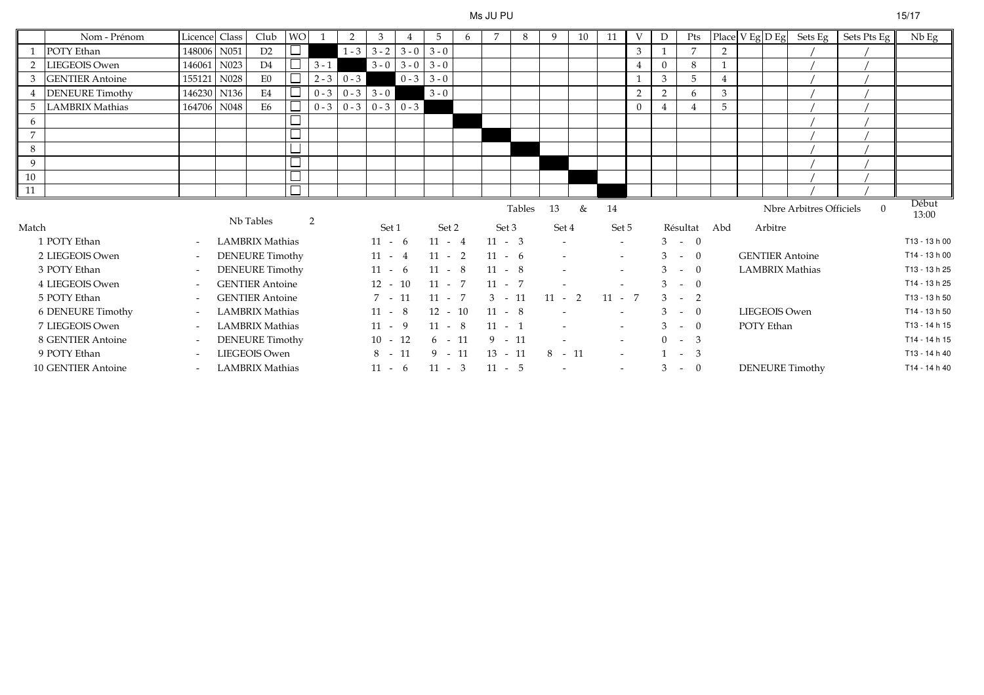#### Ms JU PU

|                                                                      | Nom - Prénom           | Licence Class            |      | Club                   | WO. |         | 2                       | 3         |         | 5         | 6 |           | 8 | 9        | 10       | 11             | V              |          | Pts            | Place $V$ Eg $D$ Eg |                   |         | Sets Eg                | Sets Pts Eg | Nb Eg         |
|----------------------------------------------------------------------|------------------------|--------------------------|------|------------------------|-----|---------|-------------------------|-----------|---------|-----------|---|-----------|---|----------|----------|----------------|----------------|----------|----------------|---------------------|-------------------|---------|------------------------|-------------|---------------|
|                                                                      | POTY Ethan             | 148006                   | N051 | D2                     |     |         | $1 - 3$                 | $3 - 2$   | $3 - 0$ | $3 - 0$   |   |           |   |          |          |                | 3              |          | $\overline{7}$ | $\overline{2}$      |                   |         |                        |             |               |
|                                                                      | 2 LIEGEOIS Owen        | 146061                   | N023 | D4                     |     | $3 - 1$ |                         | $3 - 0$   | $3 - 0$ | $3 - 0$   |   |           |   |          |          |                |                | $\Omega$ | 8              |                     |                   |         |                        |             |               |
| 3                                                                    | <b>GENTIER Antoine</b> | 155121                   | N028 | E0                     |     | $2 - 3$ | $0 - 3$                 |           | $0 - 3$ | $3 - 0$   |   |           |   |          |          |                |                | 3        | 5              |                     |                   |         |                        |             |               |
|                                                                      | <b>DENEURE</b> Timothy | 146230 N136              |      | E4                     |     | $0 - 3$ | $0 - 3$                 | $3 - 0$   |         | $3 - 0$   |   |           |   |          |          |                | $\overline{2}$ | 2        | 6              | 3                   |                   |         |                        |             |               |
|                                                                      | 5 LAMBRIX Mathias      | 164706                   | N048 | E <sub>6</sub>         |     | $0 - 3$ | $0 - 3$ $0 - 3$ $0 - 3$ |           |         |           |   |           |   |          |          |                | $\Omega$       |          |                | 5                   |                   |         |                        |             |               |
| 6                                                                    |                        |                          |      |                        |     |         |                         |           |         |           |   |           |   |          |          |                |                |          |                |                     |                   |         |                        |             |               |
| $\overline{7}$                                                       |                        |                          |      |                        |     |         |                         |           |         |           |   |           |   |          |          |                |                |          |                |                     |                   |         |                        |             |               |
| 8                                                                    |                        |                          |      |                        |     |         |                         |           |         |           |   |           |   |          |          |                |                |          |                |                     |                   |         |                        |             |               |
| 9                                                                    |                        |                          |      |                        |     |         |                         |           |         |           |   |           |   |          |          |                |                |          |                |                     |                   |         |                        |             |               |
| 10                                                                   |                        |                          |      |                        |     |         |                         |           |         |           |   |           |   |          |          |                |                |          |                |                     |                   |         |                        |             |               |
| 11                                                                   |                        |                          |      |                        |     |         |                         |           |         |           |   |           |   |          |          |                |                |          |                |                     |                   |         |                        |             |               |
| Nbre Arbitres Officiels<br>Tables<br>13<br>&<br>14<br>Nb Tables<br>2 |                        |                          |      |                        |     |         |                         |           |         |           |   |           |   |          | $\Omega$ | Début<br>13:00 |                |          |                |                     |                   |         |                        |             |               |
| Match                                                                |                        |                          |      |                        |     |         |                         | Set 1     |         | Set 2     |   | Set 3     |   | Set 4    |          | Set 5          |                |          | Résultat       | Abd                 |                   | Arbitre |                        |             |               |
|                                                                      | 1 POTY Ethan           | $\overline{\phantom{a}}$ |      | LAMBRIX Mathias        |     |         |                         | $11 - 6$  |         | $11 - 4$  |   | $11 - 3$  |   |          |          | $\sim$         |                |          | $3 - 0$        |                     |                   |         |                        |             | T13 - 13 h 00 |
|                                                                      | 2 LIEGEOIS Owen        | $\overline{\phantom{a}}$ |      | DENEURE Timothy        |     |         |                         | $11 - 4$  |         | $11 - 2$  |   | $11 - 6$  |   |          |          | $\sim$         |                |          | $3 - 0$        |                     |                   |         | <b>GENTIER Antoine</b> |             | T14 - 13 h 00 |
|                                                                      | 3 POTY Ethan           | $\overline{\phantom{a}}$ |      | DENEURE Timothy        |     |         |                         | $11 - 6$  |         | $11 - 8$  |   | $11 - 8$  |   |          |          | $\sim$         |                |          | $3 - 0$        |                     |                   |         | <b>LAMBRIX Mathias</b> |             | T13 - 13 h 25 |
|                                                                      | 4 LIEGEOIS Owen        | $\overline{\phantom{a}}$ |      | <b>GENTIER Antoine</b> |     |         |                         | $12 - 10$ |         | $11 - 7$  |   | $11 - 7$  |   |          |          |                |                |          | $3 - 0$        |                     |                   |         |                        |             | T14 - 13 h 25 |
|                                                                      | 5 POTY Ethan           | $\overline{\phantom{a}}$ |      | <b>GENTIER Antoine</b> |     |         |                         | $7 - 11$  |         | $11 - 7$  |   | $3 - 11$  |   | $11 - 2$ |          | $11 - 7$       |                |          | $3 - 2$        |                     |                   |         |                        |             | T13 - 13 h 50 |
|                                                                      | 6 DENEURE Timothy      | $\overline{\phantom{a}}$ |      | <b>LAMBRIX Mathias</b> |     |         |                         | $11 - 8$  |         | $12 - 10$ |   | $11 - 8$  |   |          |          |                |                |          | $3 - 0$        |                     | LIEGEOIS Owen     |         |                        |             | T14 - 13 h 50 |
|                                                                      | 7 LIEGEOIS Owen        | $\overline{\phantom{a}}$ |      | <b>LAMBRIX Mathias</b> |     |         |                         | $11 - 9$  |         | $11 - 8$  |   | $11 - 1$  |   |          |          | $\sim$         |                |          | $3 - 0$        |                     | <b>POTY Ethan</b> |         |                        |             | T13 - 14 h 15 |
|                                                                      |                        |                          |      | <b>DENEURE Timothy</b> |     |         |                         | $10 - 12$ |         | $6 - 11$  |   | $9 - 11$  |   |          |          | $\sim$         |                | $0 -$    | -3             |                     |                   |         |                        |             | T14 - 14 h 15 |
|                                                                      | 8 GENTIER Antoine      | $\overline{\phantom{a}}$ |      |                        |     |         |                         |           |         |           |   |           |   |          |          |                |                |          |                |                     |                   |         |                        |             |               |
|                                                                      | 9 POTY Ethan           | $\overline{\phantom{a}}$ |      | <b>LIEGEOIS Owen</b>   |     |         |                         | $8 - 11$  |         | $9 - 11$  |   | $13 - 11$ |   | $8 - 11$ |          | $\sim$         |                |          | $1 - 3$        |                     |                   |         |                        |             | T13 - 14 h 40 |
|                                                                      | 10 GENTIER Antoine     | $\overline{\phantom{a}}$ |      | LAMBRIX Mathias        |     |         |                         | $11 - 6$  |         | $11 - 3$  |   | $11 - 5$  |   |          |          | $\sim$         |                | 3        | $- 0$          |                     |                   |         | <b>DENEURE Timothy</b> |             | T14 - 14 h 40 |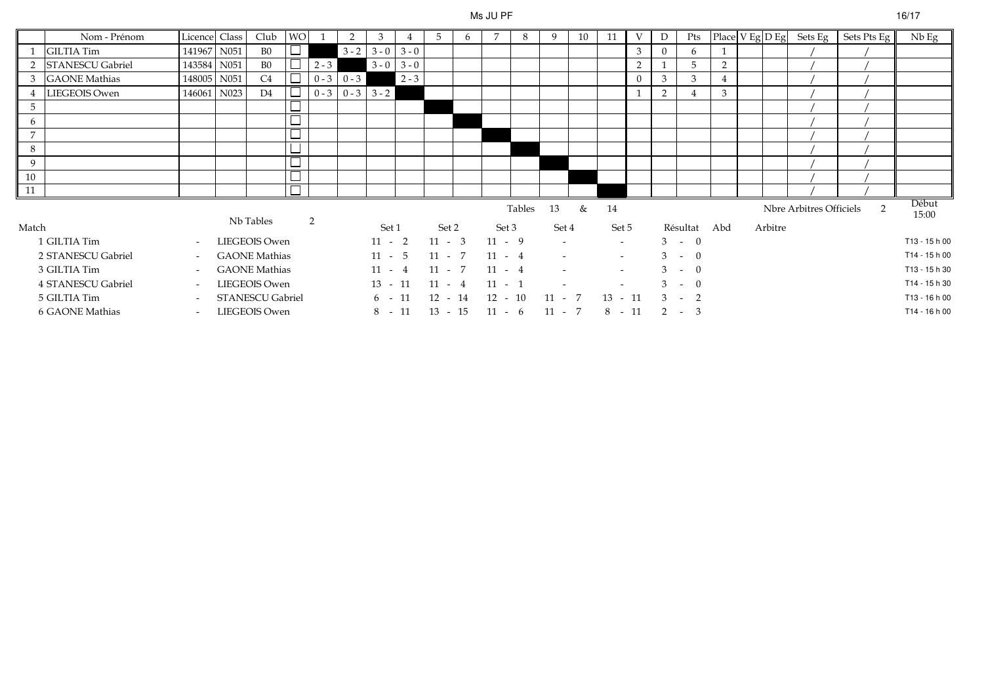# Ms JU PF

|                | Nom - Prénom            | Licence Class            | Club                 | <b>WO</b> |         |                         | 3             |               | 5         | 6 |           | 8      | 9        | 10 | 11        | V              | D | Pts      |                |         | Place $V$ Eg $D$ Eg Sets Eg | Sets Pts Eg   | $Nb$ Eg        |
|----------------|-------------------------|--------------------------|----------------------|-----------|---------|-------------------------|---------------|---------------|-----------|---|-----------|--------|----------|----|-----------|----------------|---|----------|----------------|---------|-----------------------------|---------------|----------------|
|                | <b>GILTIA Tim</b>       | 141967 N051              | B <sub>0</sub>       |           |         | $3 - 2$                 | $3 - 0$ 3 - 0 |               |           |   |           |        |          |    |           | 3              |   | 6        |                |         |                             |               |                |
| $\mathcal{P}$  | <b>STANESCU Gabriel</b> | 143584 N051              | B <sub>0</sub>       |           | $2 - 3$ |                         |               | $3 - 0$ 3 - 0 |           |   |           |        |          |    |           | $\overline{2}$ |   | 5        | $\overline{2}$ |         |                             |               |                |
| 3              | <b>GAONE</b> Mathias    | 148005 N051              | C4                   |           |         | $0 - 3 \ 0 - 3$         |               | $2 - 3$       |           |   |           |        |          |    |           |                | 3 | 3        | $\overline{4}$ |         |                             |               |                |
|                | LIEGEOIS Owen           | 146061 N023              | D4                   |           |         | $0 - 3$ $0 - 3$ $3 - 2$ |               |               |           |   |           |        |          |    |           |                | 2 |          | 3              |         |                             |               |                |
| 5              |                         |                          |                      |           |         |                         |               |               |           |   |           |        |          |    |           |                |   |          |                |         |                             |               |                |
| 6              |                         |                          |                      |           |         |                         |               |               |           |   |           |        |          |    |           |                |   |          |                |         |                             |               |                |
| $\overline{7}$ |                         |                          |                      | المستقبل  |         |                         |               |               |           |   |           |        |          |    |           |                |   |          |                |         |                             |               |                |
| 8              |                         |                          |                      | ᅳ         |         |                         |               |               |           |   |           |        |          |    |           |                |   |          |                |         |                             |               |                |
| 9              |                         |                          |                      |           |         |                         |               |               |           |   |           |        |          |    |           |                |   |          |                |         |                             |               |                |
| 10             |                         |                          |                      |           |         |                         |               |               |           |   |           |        |          |    |           |                |   |          |                |         |                             |               |                |
| 11             |                         |                          |                      |           |         |                         |               |               |           |   |           |        |          |    |           |                |   |          |                |         |                             |               |                |
|                |                         |                          | Nb Tables            |           | 2       |                         |               |               |           |   |           | Tables | 13       | &  | 14        |                |   |          |                |         | Nbre Arbitres Officiels     | $\mathcal{P}$ | Début<br>15:00 |
| Match          |                         |                          |                      |           |         |                         | Set 1         |               | Set 2     |   | Set 3     |        | Set 4    |    | Set 5     |                |   | Résultat | Abd            | Arbitre |                             |               |                |
|                | 1 GILTIA Tim            | $\sim$                   | LIEGEOIS Owen        |           |         |                         | $11 - 2$      |               | $11 - 3$  |   | $11 - 9$  |        |          |    | $\sim$    |                |   | $3 - 0$  |                |         |                             |               | T13 - 15 h 00  |
|                | 2 STANESCU Gabriel      | $\overline{\phantom{a}}$ | <b>GAONE</b> Mathias |           |         |                         | $11 - 5$      |               | $11 - 7$  |   | $11 - 4$  |        |          |    | $\sim$    |                |   | $3 - 0$  |                |         |                             |               | T14 - 15 h 00  |
|                | 3 GILTIA Tim            | $\overline{\phantom{0}}$ | <b>GAONE</b> Mathias |           |         |                         | $11 - 4$      |               | $11 - 7$  |   | $11 - 4$  |        |          |    | $\sim$    |                |   | $3 - 0$  |                |         |                             |               | T13 - 15 h 30  |
|                | 4 STANESCU Gabriel      | $\overline{\phantom{a}}$ | LIEGEOIS Owen        |           |         |                         | $13 - 11$     |               | $11 - 4$  |   | $11 - 1$  |        |          |    |           |                |   | $3 - 0$  |                |         |                             |               | T14 - 15 h 30  |
|                | 5 GILTIA Tim            | $\overline{\phantom{0}}$ | STANESCU Gabriel     |           |         |                         | 6 -           | 11            | 12 - 14   |   | $12 - 10$ |        | $11 - 7$ |    | $13 - 11$ |                |   | $3 - 2$  |                |         |                             |               | T13 - 16 h 00  |
|                | 6 GAONE Mathias         | $\sim$                   | LIEGEOIS Owen        |           |         |                         | $8 - 11$      |               | $13 - 15$ |   | $11 - 6$  |        | $11 - 7$ |    | $8 - 11$  |                |   | $2 - 3$  |                |         |                             |               | T14 - 16 h 00  |